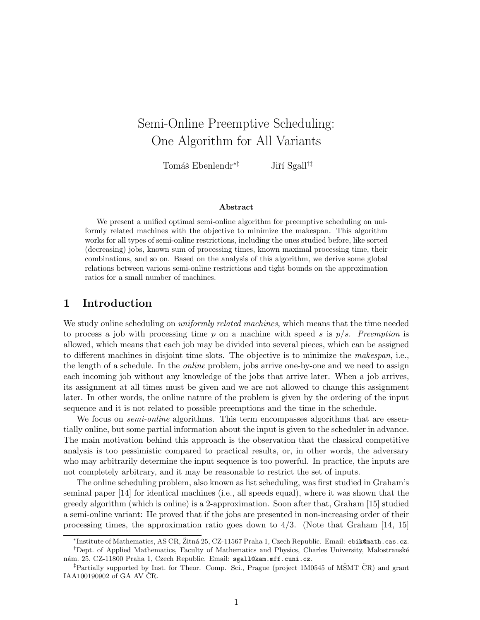# Semi-Online Preemptive Scheduling: One Algorithm for All Variants

Tomáš Ebenlendr<sup>∗‡</sup> Jiří Sgall<sup>†‡</sup>

Abstract

We present a unified optimal semi-online algorithm for preemptive scheduling on uniformly related machines with the objective to minimize the makespan. This algorithm works for all types of semi-online restrictions, including the ones studied before, like sorted (decreasing) jobs, known sum of processing times, known maximal processing time, their combinations, and so on. Based on the analysis of this algorithm, we derive some global relations between various semi-online restrictions and tight bounds on the approximation ratios for a small number of machines.

# 1 Introduction

We study online scheduling on *uniformly related machines*, which means that the time needed to process a job with processing time p on a machine with speed s is  $p/s$ . Preemption is allowed, which means that each job may be divided into several pieces, which can be assigned to different machines in disjoint time slots. The objective is to minimize the *makespan*, i.e., the length of a schedule. In the *online* problem, jobs arrive one-by-one and we need to assign each incoming job without any knowledge of the jobs that arrive later. When a job arrives, its assignment at all times must be given and we are not allowed to change this assignment later. In other words, the online nature of the problem is given by the ordering of the input sequence and it is not related to possible preemptions and the time in the schedule.

We focus on *semi-online* algorithms. This term encompasses algorithms that are essentially online, but some partial information about the input is given to the scheduler in advance. The main motivation behind this approach is the observation that the classical competitive analysis is too pessimistic compared to practical results, or, in other words, the adversary who may arbitrarily determine the input sequence is too powerful. In practice, the inputs are not completely arbitrary, and it may be reasonable to restrict the set of inputs.

The online scheduling problem, also known as list scheduling, was first studied in Graham's seminal paper [14] for identical machines (i.e., all speeds equal), where it was shown that the greedy algorithm (which is online) is a 2-approximation. Soon after that, Graham [15] studied a semi-online variant: He proved that if the jobs are presented in non-increasing order of their processing times, the approximation ratio goes down to  $4/3$ . (Note that Graham [14, 15]

<sup>\*</sup>Institute of Mathematics, AS CR, Žitná 25, CZ-11567 Praha 1, Czech Republic. Email: ebik@math.cas.cz. <sup>†</sup>Dept. of Applied Mathematics, Faculty of Mathematics and Physics, Charles University, Malostranské nám. 25, CZ-11800 Praha 1, Czech Republic. Email: sgall@kam.mff.cuni.cz.

<sup>‡</sup>Partially supported by Inst. for Theor. Comp. Sci., Prague (project 1M0545 of MSMT ˇ CR) and grant ˇ IAA100190902 of GA AV ČR.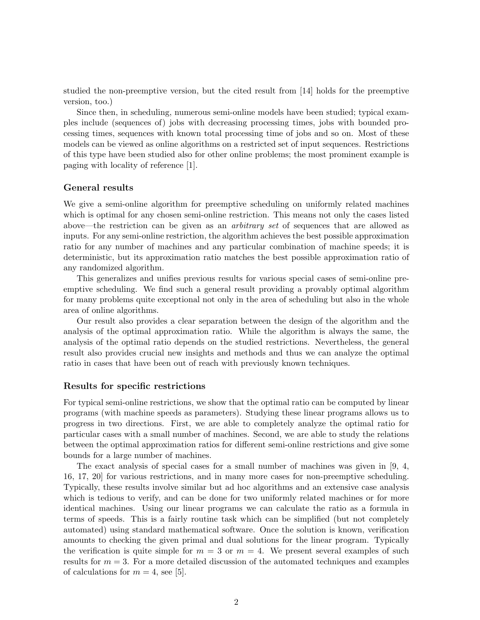studied the non-preemptive version, but the cited result from [14] holds for the preemptive version, too.)

Since then, in scheduling, numerous semi-online models have been studied; typical examples include (sequences of) jobs with decreasing processing times, jobs with bounded processing times, sequences with known total processing time of jobs and so on. Most of these models can be viewed as online algorithms on a restricted set of input sequences. Restrictions of this type have been studied also for other online problems; the most prominent example is paging with locality of reference [1].

#### General results

We give a semi-online algorithm for preemptive scheduling on uniformly related machines which is optimal for any chosen semi-online restriction. This means not only the cases listed above—the restriction can be given as an arbitrary set of sequences that are allowed as inputs. For any semi-online restriction, the algorithm achieves the best possible approximation ratio for any number of machines and any particular combination of machine speeds; it is deterministic, but its approximation ratio matches the best possible approximation ratio of any randomized algorithm.

This generalizes and unifies previous results for various special cases of semi-online preemptive scheduling. We find such a general result providing a provably optimal algorithm for many problems quite exceptional not only in the area of scheduling but also in the whole area of online algorithms.

Our result also provides a clear separation between the design of the algorithm and the analysis of the optimal approximation ratio. While the algorithm is always the same, the analysis of the optimal ratio depends on the studied restrictions. Nevertheless, the general result also provides crucial new insights and methods and thus we can analyze the optimal ratio in cases that have been out of reach with previously known techniques.

#### Results for specific restrictions

For typical semi-online restrictions, we show that the optimal ratio can be computed by linear programs (with machine speeds as parameters). Studying these linear programs allows us to progress in two directions. First, we are able to completely analyze the optimal ratio for particular cases with a small number of machines. Second, we are able to study the relations between the optimal approximation ratios for different semi-online restrictions and give some bounds for a large number of machines.

The exact analysis of special cases for a small number of machines was given in [9, 4, 16, 17, 20] for various restrictions, and in many more cases for non-preemptive scheduling. Typically, these results involve similar but ad hoc algorithms and an extensive case analysis which is tedious to verify, and can be done for two uniformly related machines or for more identical machines. Using our linear programs we can calculate the ratio as a formula in terms of speeds. This is a fairly routine task which can be simplified (but not completely automated) using standard mathematical software. Once the solution is known, verification amounts to checking the given primal and dual solutions for the linear program. Typically the verification is quite simple for  $m = 3$  or  $m = 4$ . We present several examples of such results for  $m = 3$ . For a more detailed discussion of the automated techniques and examples of calculations for  $m = 4$ , see [5].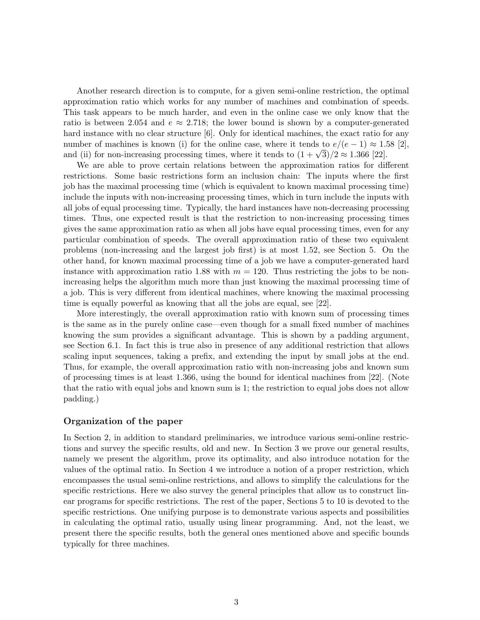Another research direction is to compute, for a given semi-online restriction, the optimal approximation ratio which works for any number of machines and combination of speeds. This task appears to be much harder, and even in the online case we only know that the ratio is between 2.054 and  $e \approx 2.718$ ; the lower bound is shown by a computer-generated hard instance with no clear structure [6]. Only for identical machines, the exact ratio for any number of machines is known (i) for the online case, where it tends to  $e/(e-1) \approx 1.58$  [2], mumber of machines is known (i) for the online case, where it tends to  $e/(e-1) \approx 1.366$ <br>and (ii) for non-increasing processing times, where it tends to  $(1 + \sqrt{3})/2 \approx 1.366$  [22].

We are able to prove certain relations between the approximation ratios for different restrictions. Some basic restrictions form an inclusion chain: The inputs where the first job has the maximal processing time (which is equivalent to known maximal processing time) include the inputs with non-increasing processing times, which in turn include the inputs with all jobs of equal processing time. Typically, the hard instances have non-decreasing processing times. Thus, one expected result is that the restriction to non-increasing processing times gives the same approximation ratio as when all jobs have equal processing times, even for any particular combination of speeds. The overall approximation ratio of these two equivalent problems (non-increasing and the largest job first) is at most 1.52, see Section 5. On the other hand, for known maximal processing time of a job we have a computer-generated hard instance with approximation ratio 1.88 with  $m = 120$ . Thus restricting the jobs to be nonincreasing helps the algorithm much more than just knowing the maximal processing time of a job. This is very different from identical machines, where knowing the maximal processing time is equally powerful as knowing that all the jobs are equal, see [22].

More interestingly, the overall approximation ratio with known sum of processing times is the same as in the purely online case—even though for a small fixed number of machines knowing the sum provides a significant advantage. This is shown by a padding argument, see Section 6.1. In fact this is true also in presence of any additional restriction that allows scaling input sequences, taking a prefix, and extending the input by small jobs at the end. Thus, for example, the overall approximation ratio with non-increasing jobs and known sum of processing times is at least 1.366, using the bound for identical machines from [22]. (Note that the ratio with equal jobs and known sum is 1; the restriction to equal jobs does not allow padding.)

#### Organization of the paper

In Section 2, in addition to standard preliminaries, we introduce various semi-online restrictions and survey the specific results, old and new. In Section 3 we prove our general results, namely we present the algorithm, prove its optimality, and also introduce notation for the values of the optimal ratio. In Section 4 we introduce a notion of a proper restriction, which encompasses the usual semi-online restrictions, and allows to simplify the calculations for the specific restrictions. Here we also survey the general principles that allow us to construct linear programs for specific restrictions. The rest of the paper, Sections 5 to 10 is devoted to the specific restrictions. One unifying purpose is to demonstrate various aspects and possibilities in calculating the optimal ratio, usually using linear programming. And, not the least, we present there the specific results, both the general ones mentioned above and specific bounds typically for three machines.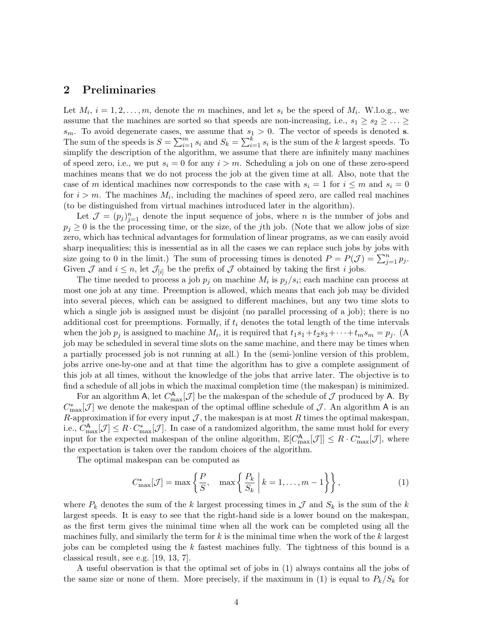# 2 Preliminaries

Let  $M_i$ ,  $i = 1, 2, \ldots, m$ , denote the m machines, and let  $s_i$  be the speed of  $M_i$ . W.l.o.g., we assume that the machines are sorted so that speeds are non-increasing, i.e.,  $s_1 \geq s_2 \geq \ldots \geq$  $s_m$ . To avoid degenerate cases, we assume that  $s_1 > 0$ . The vector of speeds is denoted s. The sum of the speeds is  $S = \sum_{i=1}^{m} s_i$  and  $S_k = \sum_{i=1}^{k} s_i$  is the sum of the k largest speeds. To simplify the description of the algorithm, we assume that there are infinitely many machines of speed zero, i.e., we put  $s_i = 0$  for any  $i > m$ . Scheduling a job on one of these zero-speed machines means that we do not process the job at the given time at all. Also, note that the case of m identical machines now corresponds to the case with  $s_i = 1$  for  $i \leq m$  and  $s_i = 0$ for  $i > m$ . The machines  $M_i$ , including the machines of speed zero, are called real machines (to be distinguished from virtual machines introduced later in the algorithm).

Let  $\mathcal{J} = (p_j)_{j=1}^n$  denote the input sequence of jobs, where *n* is the number of jobs and  $p_j \geq 0$  is the the processing time, or the size, of the jth job. (Note that we allow jobs of size zero, which has technical advantages for formulation of linear programs, as we can easily avoid sharp inequalities; this is inessential as in all the cases we can replace such jobs by jobs with size going to 0 in the limit.) The sum of processing times is denoted  $P = P(\mathcal{J}) = \sum_{j=1}^{n} p_j$ . Given  $\mathcal J$  and  $i \leq n$ , let  $\mathcal J_{[i]}$  be the prefix of  $\mathcal J$  obtained by taking the first i jobs.

The time needed to process a job  $p_j$  on machine  $M_i$  is  $p_j/s_i$ ; each machine can process at most one job at any time. Preemption is allowed, which means that each job may be divided into several pieces, which can be assigned to different machines, but any two time slots to which a single job is assigned must be disjoint (no parallel processing of a job); there is no additional cost for preemptions. Formally, if  $t_i$  denotes the total length of the time intervals when the job  $p_j$  is assigned to machine  $M_i$ , it is required that  $t_1s_1+t_2s_3+\cdots+t_ms_m=p_j$ . (A job may be scheduled in several time slots on the same machine, and there may be times when a partially processed job is not running at all.) In the (semi-)online version of this problem, jobs arrive one-by-one and at that time the algorithm has to give a complete assignment of this job at all times, without the knowledge of the jobs that arrive later. The objective is to find a schedule of all jobs in which the maximal completion time (the makespan) is minimized.

For an algorithm A, let  $C_{\text{max}}^{\mathsf{A}}[\mathcal{J}]$  be the makespan of the schedule of  $\mathcal J$  produced by A. By  $C_{\text{max}}^*[\mathcal{J}]$  we denote the makespan of the optimal offline schedule of  $\mathcal{J}$ . An algorithm A is an R-approximation if for every input  $\mathcal{J}$ , the makespan is at most R times the optimal makespan, i.e.,  $C_{\text{max}}^{\mathsf{A}}[\mathcal{J}] \leq R \cdot C_{\text{max}}^{*}[\mathcal{J}]$ . In case of a randomized algorithm, the same must hold for every input for the expected makespan of the online algorithm,  $\mathbb{E}[C_{\text{max}}^{\mathsf{A}}[\mathcal{J}]] \leq R \cdot C_{\text{max}}^{*}[\mathcal{J}]$ , where the expectation is taken over the random choices of the algorithm.

The optimal makespan can be computed as

$$
C_{\max}^*[\mathcal{J}] = \max\left\{\frac{P}{S}, \quad \max\left\{\frac{P_k}{S_k} \middle| k=1,\dots,m-1\right\}\right\},\tag{1}
$$

where  $P_k$  denotes the sum of the k largest processing times in  $\mathcal J$  and  $S_k$  is the sum of the k largest speeds. It is easy to see that the right-hand side is a lower bound on the makespan, as the first term gives the minimal time when all the work can be completed using all the machines fully, and similarly the term for  $k$  is the minimal time when the work of the  $k$  largest jobs can be completed using the k fastest machines fully. The tightness of this bound is a classical result, see e.g. [19, 13, 7].

A useful observation is that the optimal set of jobs in (1) always contains all the jobs of the same size or none of them. More precisely, if the maximum in (1) is equal to  $P_k/S_k$  for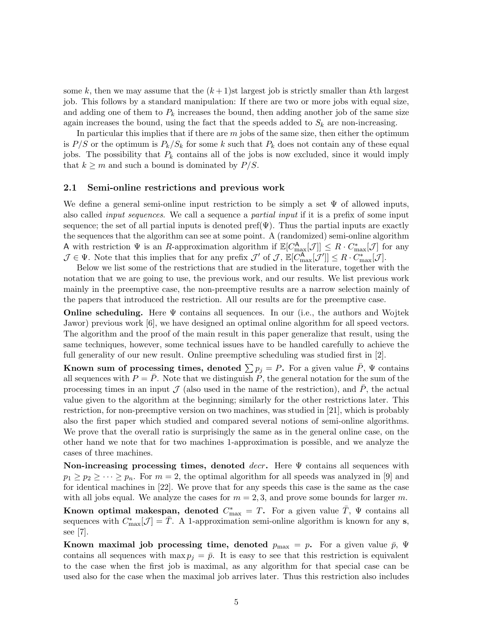some k, then we may assume that the  $(k+1)$ st largest job is strictly smaller than kth largest job. This follows by a standard manipulation: If there are two or more jobs with equal size, and adding one of them to  $P_k$  increases the bound, then adding another job of the same size again increases the bound, using the fact that the speeds added to  $S_k$  are non-increasing.

In particular this implies that if there are  $m$  jobs of the same size, then either the optimum is  $P/S$  or the optimum is  $P_k/S_k$  for some k such that  $P_k$  does not contain any of these equal jobs. The possibility that  $P_k$  contains all of the jobs is now excluded, since it would imply that  $k \geq m$  and such a bound is dominated by  $P/S$ .

#### 2.1 Semi-online restrictions and previous work

We define a general semi-online input restriction to be simply a set  $\Psi$  of allowed inputs, also called *input sequences*. We call a sequence a *partial input* if it is a prefix of some input sequence; the set of all partial inputs is denoted pref $(\Psi)$ . Thus the partial inputs are exactly the sequences that the algorithm can see at some point. A (randomized) semi-online algorithm A with restriction  $\Psi$  is an R-approximation algorithm if  $\mathbb{E}[C_{\max}^{\mathsf{A}}[\mathcal{J}]] \leq R \cdot C_{\max}^*[\mathcal{J}]$  for any  $\mathcal{J} \in \Psi$ . Note that this implies that for any prefix  $\mathcal{J}'$  of  $\mathcal{J}, \mathbb{E}[C_{\max}^{\mathsf{A}}[\mathcal{J}'] \leq R \cdot C_{\max}^*[\mathcal{J}].$ 

Below we list some of the restrictions that are studied in the literature, together with the notation that we are going to use, the previous work, and our results. We list previous work mainly in the preemptive case, the non-preemptive results are a narrow selection mainly of the papers that introduced the restriction. All our results are for the preemptive case.

**Online scheduling.** Here  $\Psi$  contains all sequences. In our (i.e., the authors and Wojtek Jawor) previous work [6], we have designed an optimal online algorithm for all speed vectors. The algorithm and the proof of the main result in this paper generalize that result, using the same techniques, however, some technical issues have to be handled carefully to achieve the full generality of our new result. Online preemptive scheduling was studied first in [2].

**Known sum of processing times, denoted**  $\sum p_j = P$ . For a given value P,  $\Psi$  contains all sequences with  $P = P$ . Note that we distinguish P, the general notation for the sum of the processing times in an input  $\mathcal J$  (also used in the name of the restriction), and P, the actual value given to the algorithm at the beginning; similarly for the other restrictions later. This restriction, for non-preemptive version on two machines, was studied in [21], which is probably also the first paper which studied and compared several notions of semi-online algorithms. We prove that the overall ratio is surprisingly the same as in the general online case, on the other hand we note that for two machines 1-approximation is possible, and we analyze the cases of three machines.

Non-increasing processing times, denoted decr. Here  $\Psi$  contains all sequences with  $p_1 \geq p_2 \geq \cdots \geq p_n$ . For  $m=2$ , the optimal algorithm for all speeds was analyzed in [9] and for identical machines in [22]. We prove that for any speeds this case is the same as the case with all jobs equal. We analyze the cases for  $m = 2, 3$ , and prove some bounds for larger m.

Known optimal makespan, denoted  $C_{\text{max}}^* = T$ . For a given value  $\bar{T}$ ,  $\Psi$  contains all sequences with  $C_{\text{max}}^*[\mathcal{J}] = \overline{T}$ . A 1-approximation semi-online algorithm is known for any s, see  $|7|$ .

Known maximal job processing time, denoted  $p_{\text{max}} = p$ . For a given value  $\bar{p}$ ,  $\Psi$ contains all sequences with  $\max p_j = \bar{p}$ . It is easy to see that this restriction is equivalent to the case when the first job is maximal, as any algorithm for that special case can be used also for the case when the maximal job arrives later. Thus this restriction also includes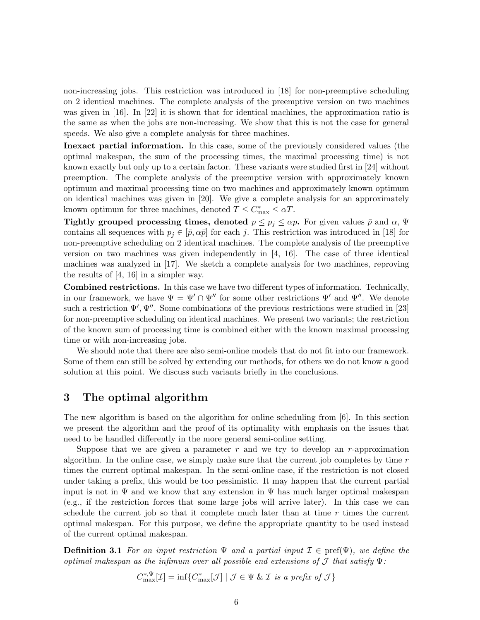non-increasing jobs. This restriction was introduced in [18] for non-preemptive scheduling on 2 identical machines. The complete analysis of the preemptive version on two machines was given in [16]. In [22] it is shown that for identical machines, the approximation ratio is the same as when the jobs are non-increasing. We show that this is not the case for general speeds. We also give a complete analysis for three machines.

Inexact partial information. In this case, some of the previously considered values (the optimal makespan, the sum of the processing times, the maximal processing time) is not known exactly but only up to a certain factor. These variants were studied first in [24] without preemption. The complete analysis of the preemptive version with approximately known optimum and maximal processing time on two machines and approximately known optimum on identical machines was given in [20]. We give a complete analysis for an approximately known optimum for three machines, denoted  $T \leq C_{\text{max}}^* \leq \alpha T$ .

Tightly grouped processing times, denoted  $p \leq p_j \leq \alpha p$ . For given values  $\bar{p}$  and  $\alpha$ ,  $\Psi$ contains all sequences with  $p_j \in [\bar{p}, \alpha \bar{p}]$  for each j. This restriction was introduced in [18] for non-preemptive scheduling on 2 identical machines. The complete analysis of the preemptive version on two machines was given independently in [4, 16]. The case of three identical machines was analyzed in [17]. We sketch a complete analysis for two machines, reproving the results of [4, 16] in a simpler way.

Combined restrictions. In this case we have two different types of information. Technically, in our framework, we have  $\Psi = \Psi' \cap \Psi''$  for some other restrictions  $\Psi'$  and  $\Psi''$ . We denote such a restriction  $\Psi', \Psi''$ . Some combinations of the previous restrictions were studied in [23] for non-preemptive scheduling on identical machines. We present two variants; the restriction of the known sum of processing time is combined either with the known maximal processing time or with non-increasing jobs.

We should note that there are also semi-online models that do not fit into our framework. Some of them can still be solved by extending our methods, for others we do not know a good solution at this point. We discuss such variants briefly in the conclusions.

# 3 The optimal algorithm

The new algorithm is based on the algorithm for online scheduling from [6]. In this section we present the algorithm and the proof of its optimality with emphasis on the issues that need to be handled differently in the more general semi-online setting.

Suppose that we are given a parameter  $r$  and we try to develop an  $r$ -approximation algorithm. In the online case, we simply make sure that the current job completes by time  $r$ times the current optimal makespan. In the semi-online case, if the restriction is not closed under taking a prefix, this would be too pessimistic. It may happen that the current partial input is not in  $\Psi$  and we know that any extension in  $\Psi$  has much larger optimal makespan (e.g., if the restriction forces that some large jobs will arrive later). In this case we can schedule the current job so that it complete much later than at time  $r$  times the current optimal makespan. For this purpose, we define the appropriate quantity to be used instead of the current optimal makespan.

**Definition 3.1** For an input restriction  $\Psi$  and a partial input  $\mathcal{I} \in \text{pref}(\Psi)$ , we define the optimal makespan as the infimum over all possible end extensions of  $\mathcal J$  that satisfy  $\Psi$ :

$$
C_{\max}^{*,\Psi}[\mathcal{I}] = \inf \{ C_{\max}^*[\mathcal{J}] \mid \mathcal{J} \in \Psi \& \mathcal{I} \text{ is a prefix of } \mathcal{J} \}
$$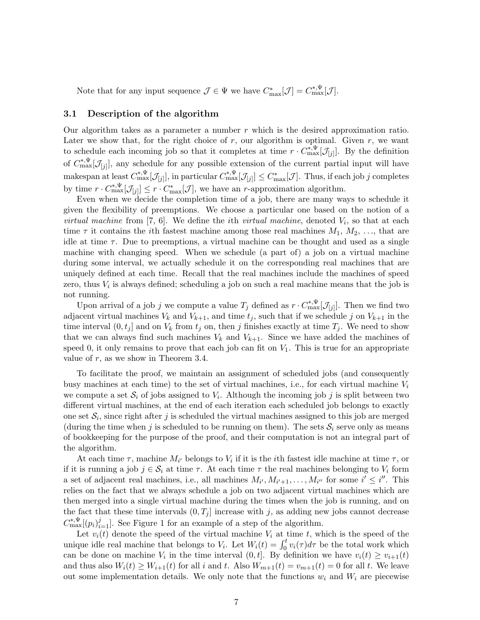Note that for any input sequence  $\mathcal{J} \in \Psi$  we have  $C_{\text{max}}^*[\mathcal{J}] = C_{\text{max}}^{*,\Psi}[\mathcal{J}].$ 

#### 3.1 Description of the algorithm

Our algorithm takes as a parameter a number r which is the desired approximation ratio. Later we show that, for the right choice of  $r$ , our algorithm is optimal. Given  $r$ , we want to schedule each incoming job so that it completes at time  $r \cdot C_{\max}^{*,\Psi}[\mathcal{J}_{[j]}].$  By the definition of  $C_{\max}^{*,\Psi}[\mathcal{J}_{[j]}],$  any schedule for any possible extension of the current partial input will have makespan at least  $C_{\max}^{*,\Psi}[\mathcal{J}_{[j]}],$  in particular  $C_{\max}^{*,\Psi}[\mathcal{J}_{[j]}] \leq C_{\max}^*[\mathcal{J}].$  Thus, if each job j completes by time  $r \cdot C_{\max}^{*,\Psi}[\mathcal{J}_{[j]}] \leq r \cdot C_{\max}^*[\mathcal{J}],$  we have an *r*-approximation algorithm.

Even when we decide the completion time of a job, there are many ways to schedule it given the flexibility of preemptions. We choose a particular one based on the notion of a *virtual machine* from [7, 6]. We define the *i*th *virtual machine*, denoted  $V_i$ , so that at each time  $\tau$  it contains the *i*th fastest machine among those real machines  $M_1, M_2, \ldots$ , that are idle at time  $\tau$ . Due to preemptions, a virtual machine can be thought and used as a single machine with changing speed. When we schedule (a part of) a job on a virtual machine during some interval, we actually schedule it on the corresponding real machines that are uniquely defined at each time. Recall that the real machines include the machines of speed zero, thus  $V_i$  is always defined; scheduling a job on such a real machine means that the job is not running.

Upon arrival of a job j we compute a value  $T_j$  defined as  $r \cdot C_{\max}^{*,\Psi}[\mathcal{J}_{[j]}].$  Then we find two adjacent virtual machines  $V_k$  and  $V_{k+1}$ , and time  $t_j$ , such that if we schedule j on  $V_{k+1}$  in the time interval  $(0, t_j]$  and on  $V_k$  from  $t_j$  on, then j finishes exactly at time  $T_j$ . We need to show that we can always find such machines  $V_k$  and  $V_{k+1}$ . Since we have added the machines of speed 0, it only remains to prove that each job can fit on  $V_1$ . This is true for an appropriate value of  $r$ , as we show in Theorem 3.4.

To facilitate the proof, we maintain an assignment of scheduled jobs (and consequently busy machines at each time) to the set of virtual machines, i.e., for each virtual machine  $V_i$ we compute a set  $S_i$  of jobs assigned to  $V_i$ . Although the incoming job j is split between two different virtual machines, at the end of each iteration each scheduled job belongs to exactly one set  $\mathcal{S}_i$ , since right after j is scheduled the virtual machines assigned to this job are merged (during the time when j is scheduled to be running on them). The sets  $S_i$  serve only as means of bookkeeping for the purpose of the proof, and their computation is not an integral part of the algorithm.

At each time  $\tau$ , machine  $M_{i'}$  belongs to  $V_i$  if it is the *i*<sup>th</sup> fastest idle machine at time  $\tau$ , or if it is running a job  $j \in \mathcal{S}_i$  at time  $\tau$ . At each time  $\tau$  the real machines belonging to  $V_i$  form a set of adjacent real machines, i.e., all machines  $M_{i'}, M_{i'+1}, \ldots, M_{i''}$  for some  $i' \leq i''$ . This relies on the fact that we always schedule a job on two adjacent virtual machines which are then merged into a single virtual machine during the times when the job is running, and on the fact that these time intervals  $(0, T<sub>j</sub>]$  increase with j, as adding new jobs cannot decrease  $C_{\text{max}}^{*,\Psi}[(p_i)_{i=1}^j]$ . See Figure 1 for an example of a step of the algorithm.

Let  $v_i(t)$  denote the speed of the virtual machine  $V_i$  at time t, which is the speed of the unique idle real machine that belongs to  $V_i$ . Let  $W_i(t) = \int_0^t v_i(\tau) d\tau$  be the total work which can be done on machine  $V_i$  in the time interval  $(0, t]$ . By definition we have  $v_i(t) \ge v_{i+1}(t)$ and thus also  $W_i(t) \geq W_{i+1}(t)$  for all i and t. Also  $W_{m+1}(t) = v_{m+1}(t) = 0$  for all t. We leave out some implementation details. We only note that the functions  $w_i$  and  $W_i$  are piecewise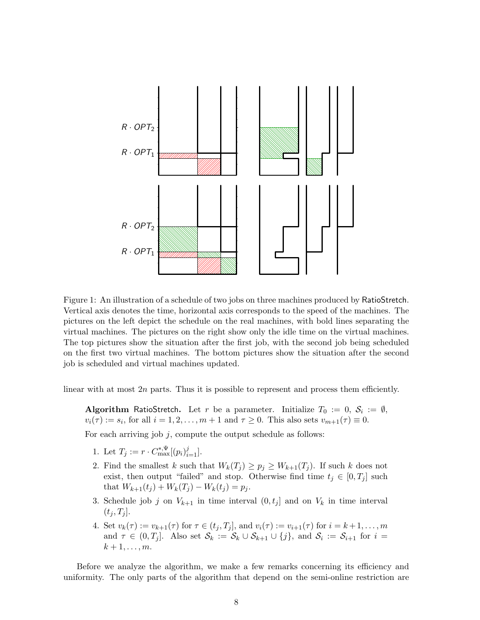

Figure 1: An illustration of a schedule of two jobs on three machines produced by RatioStretch. Vertical axis denotes the time, horizontal axis corresponds to the speed of the machines. The pictures on the left depict the schedule on the real machines, with bold lines separating the virtual machines. The pictures on the right show only the idle time on the virtual machines. The top pictures show the situation after the first job, with the second job being scheduled on the first two virtual machines. The bottom pictures show the situation after the second job is scheduled and virtual machines updated.

linear with at most 2n parts. Thus it is possible to represent and process them efficiently.

**Algorithm RatioStretch.** Let r be a parameter. Initialize  $T_0 := 0$ ,  $S_i := \emptyset$ ,  $v_i(\tau) := s_i$ , for all  $i = 1, 2, \ldots, m + 1$  and  $\tau \geq 0$ . This also sets  $v_{m+1}(\tau) \equiv 0$ .

For each arriving job  $j$ , compute the output schedule as follows:

- 1. Let  $T_j := r \cdot C_{\max}^{*,\Psi}[(p_i)_{i=1}^j].$
- 2. Find the smallest k such that  $W_k(T_j) \geq p_j \geq W_{k+1}(T_j)$ . If such k does not exist, then output "failed" and stop. Otherwise find time  $t_j \in [0, T_j]$  such that  $W_{k+1}(t_j) + W_k(T_j) - W_k(t_j) = p_j$ .
- 3. Schedule job j on  $V_{k+1}$  in time interval  $(0, t<sub>j</sub>]$  and on  $V_k$  in time interval  $(t_i, T_i].$
- 4. Set  $v_k(\tau) := v_{k+1}(\tau)$  for  $\tau \in (t_j, T_j]$ , and  $v_i(\tau) := v_{i+1}(\tau)$  for  $i = k+1, \ldots, m$ and  $\tau \in (0, T_j]$ . Also set  $\mathcal{S}_k := \mathcal{S}_k \cup \mathcal{S}_{k+1} \cup \{j\}$ , and  $\mathcal{S}_i := \mathcal{S}_{i+1}$  for  $i =$  $k+1,\ldots,m$ .

Before we analyze the algorithm, we make a few remarks concerning its efficiency and uniformity. The only parts of the algorithm that depend on the semi-online restriction are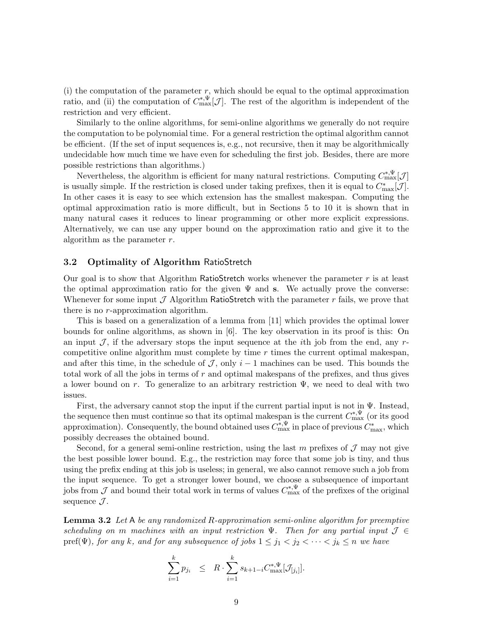(i) the computation of the parameter  $r$ , which should be equal to the optimal approximation ratio, and (ii) the computation of  $C_{\text{max}}^{*,\Psi}[\mathcal{J}]$ . The rest of the algorithm is independent of the restriction and very efficient.

Similarly to the online algorithms, for semi-online algorithms we generally do not require the computation to be polynomial time. For a general restriction the optimal algorithm cannot be efficient. (If the set of input sequences is, e.g., not recursive, then it may be algorithmically undecidable how much time we have even for scheduling the first job. Besides, there are more possible restrictions than algorithms.)

Nevertheless, the algorithm is efficient for many natural restrictions. Computing  $C_{\text{max}}^{*,\Psi}[\mathcal{J}]$ is usually simple. If the restriction is closed under taking prefixes, then it is equal to  $C^*_{\text{max}}[\mathcal{J}]$ . In other cases it is easy to see which extension has the smallest makespan. Computing the optimal approximation ratio is more difficult, but in Sections 5 to 10 it is shown that in many natural cases it reduces to linear programming or other more explicit expressions. Alternatively, we can use any upper bound on the approximation ratio and give it to the algorithm as the parameter r.

#### 3.2 Optimality of Algorithm RatioStretch

Our goal is to show that Algorithm RatioStretch works whenever the parameter r is at least the optimal approximation ratio for the given  $\Psi$  and s. We actually prove the converse: Whenever for some input  $\mathcal J$  Algorithm RatioStretch with the parameter r fails, we prove that there is no r-approximation algorithm.

This is based on a generalization of a lemma from [11] which provides the optimal lower bounds for online algorithms, as shown in [6]. The key observation in its proof is this: On an input  $\mathcal{J}$ , if the adversary stops the input sequence at the *i*th job from the end, any rcompetitive online algorithm must complete by time  $r$  times the current optimal makespan, and after this time, in the schedule of  $\mathcal{J}$ , only  $i-1$  machines can be used. This bounds the total work of all the jobs in terms of  $r$  and optimal makespans of the prefixes, and thus gives a lower bound on r. To generalize to an arbitrary restriction  $\Psi$ , we need to deal with two issues.

First, the adversary cannot stop the input if the current partial input is not in Ψ. Instead, the sequence then must continue so that its optimal makespan is the current  $C_{\text{max}}^{*,\Psi}$  (or its good approximation). Consequently, the bound obtained uses  $C_{\text{max}}^{*,\Psi}$  in place of previous  $C_{\text{max}}^*$ , which possibly decreases the obtained bound.

Second, for a general semi-online restriction, using the last m prefixes of  $\mathcal J$  may not give the best possible lower bound. E.g., the restriction may force that some job is tiny, and thus using the prefix ending at this job is useless; in general, we also cannot remove such a job from the input sequence. To get a stronger lower bound, we choose a subsequence of important jobs from  $\mathcal J$  and bound their total work in terms of values  $C_{\max}^{*,\Psi}$  of the prefixes of the original sequence  $\mathcal{J}$ .

**Lemma 3.2** Let A be any randomized R-approximation semi-online algorithm for preemptive scheduling on m machines with an input restriction  $\Psi$ . Then for any partial input  $\mathcal{J} \in$ pref(Ψ), for any k, and for any subsequence of jobs  $1 \le j_1 < j_2 < \cdots < j_k \le n$  we have

$$
\sum_{i=1}^k p_{j_i} \leq R \cdot \sum_{i=1}^k s_{k+1-i} C_{\max}^{*,\Psi} [\mathcal{J}_{[j_i]}].
$$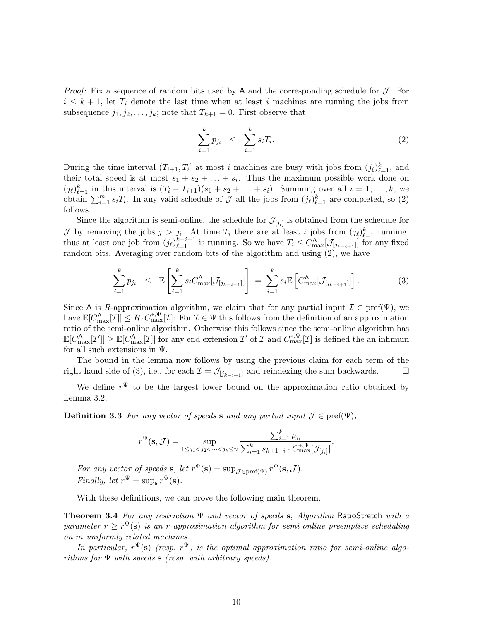*Proof:* Fix a sequence of random bits used by A and the corresponding schedule for  $J$ . For  $i \leq k+1$ , let  $T_i$  denote the last time when at least i machines are running the jobs from subsequence  $j_1, j_2, \ldots, j_k$ ; note that  $T_{k+1} = 0$ . First observe that

$$
\sum_{i=1}^{k} p_{j_i} \leq \sum_{i=1}^{k} s_i T_i.
$$
 (2)

During the time interval  $(T_{i+1}, T_i]$  at most i machines are busy with jobs from  $(j_\ell)_{\ell=1}^k$ , and their total speed is at most  $s_1 + s_2 + \ldots + s_i$ . Thus the maximum possible work done on  $(j_{\ell})_{\ell=1}^k$  in this interval is  $(T_i - T_{i+1})(s_1 + s_2 + \ldots + s_i)$ . Summing over all  $i = 1, \ldots, k$ , we obtain  $\sum_{i=1}^m s_i T_i$ . In any valid schedule of  $\mathcal J$  all the jobs from  $(j_\ell)_{\ell=1}^k$  are completed, so (2) follows.

Since the algorithm is semi-online, the schedule for  $\mathcal{J}_{[j_i]}$  is obtained from the schedule for J by removing the jobs  $j > j_i$ . At time  $T_i$  there are at least i jobs from  $(j_\ell)_{\ell=1}^k$  running, thus at least one job from  $(j_{\ell})_{\ell=1}^{k-i+1}$  is running. So we have  $T_i \leq C_{\max}^{\mathsf{A}}[\mathcal{J}_{[j_{k-i+1}]}]$  for any fixed random bits. Averaging over random bits of the algorithm and using (2), we have

$$
\sum_{i=1}^k p_{j_i} \leq \mathbb{E}\left[\sum_{i=1}^k s_i C_{\max}^{\mathsf{A}}[\mathcal{J}_{[j_{k-i+1}]}]\right] = \sum_{i=1}^k s_i \mathbb{E}\left[C_{\max}^{\mathsf{A}}[\mathcal{J}_{[j_{k-i+1}]}]\right].
$$
 (3)

Since A is R-approximation algorithm, we claim that for any partial input  $\mathcal{I} \in \text{pref}(\Psi)$ , we have  $\mathbb{E}[C_{\max}^{\mathsf{A}}[\mathcal{I}]] \leq R \cdot C_{\max}^{*,\Psi}[\mathcal{I}]\colon$  For  $\mathcal{I} \in \Psi$  this follows from the definition of an approximation ratio of the semi-online algorithm. Otherwise this follows since the semi-online algorithm has  $\mathbb{E}[C_{\max}^{\mathsf{A}}[\mathcal{I}]] \geq \mathbb{E}[C_{\max}^{\mathsf{A}}[\mathcal{I}]]$  for any end extension  $\mathcal{I}'$  of  $\mathcal{I}$  and  $C_{\max}^{*,\Psi}[\mathcal{I}]$  is defined the an infimum for all such extensions in  $\Psi$ 

The bound in the lemma now follows by using the previous claim for each term of the right-hand side of (3), i.e., for each  $\mathcal{I} = \mathcal{J}_{[j_{k-i+1}]}$  and reindexing the sum backwards.  $\Box$ 

We define  $r^{\Psi}$  to be the largest lower bound on the approximation ratio obtained by Lemma 3.2.

**Definition 3.3** For any vector of speeds **s** and any partial input  $\mathcal{J} \in \text{pref}(\Psi)$ ,

$$
r^{\Psi}(\mathbf{s}, \mathcal{J}) = \sup_{1 \le j_1 < j_2 < \dots < j_k \le n} \frac{\sum_{i=1}^k p_{j_i}}{\sum_{i=1}^k s_{k+1-i} \cdot C_{\max}^{*,\Psi}[\mathcal{J}_{[j_i]}]}.
$$

For any vector of speeds **s**, let  $r^{\Psi}(\mathbf{s}) = \sup_{\mathcal{J} \in \text{pref}(\Psi)} r^{\Psi}(\mathbf{s}, \mathcal{J}).$ Finally, let  $r^{\Psi} = \sup_{\mathbf{s}} r^{\Psi}(\mathbf{s}).$ 

With these definitions, we can prove the following main theorem.

**Theorem 3.4** For any restriction  $\Psi$  and vector of speeds s, Algorithm RatioStretch with a parameter  $r \geq r^{\Psi}(\mathbf{s})$  is an r-approximation algorithm for semi-online preemptive scheduling on m uniformly related machines.

In particular,  $r^{\Psi}(\mathbf{s})$  (resp.  $r^{\Psi}$ ) is the optimal approximation ratio for semi-online algorithms for  $\Psi$  with speeds  $s$  (resp. with arbitrary speeds).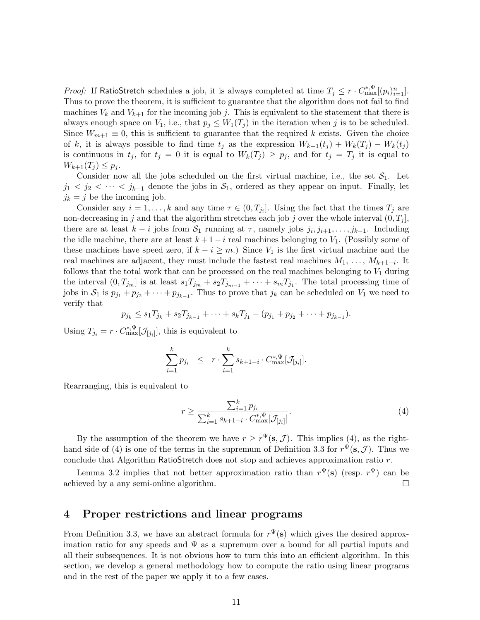*Proof:* If RatioStretch schedules a job, it is always completed at time  $T_j \leq r \cdot C_{\max}^{*,\Psi}[(p_i)_{i=1}^n]$ . Thus to prove the theorem, it is sufficient to guarantee that the algorithm does not fail to find machines  $V_k$  and  $V_{k+1}$  for the incoming job j. This is equivalent to the statement that there is always enough space on  $V_1$ , i.e., that  $p_j \leq W_1(T_j)$  in the iteration when j is to be scheduled. Since  $W_{m+1} \equiv 0$ , this is sufficient to guarantee that the required k exists. Given the choice of k, it is always possible to find time  $t_j$  as the expression  $W_{k+1}(t_j) + W_k(T_j) - W_k(t_j)$ is continuous in  $t_j$ , for  $t_j = 0$  it is equal to  $W_k(T_j) \geq p_j$ , and for  $t_j = T_j$  it is equal to  $W_{k+1}(T_i) \leq p_i$ .

Consider now all the jobs scheduled on the first virtual machine, i.e., the set  $S_1$ . Let  $j_1 < j_2 < \cdots < j_{k-1}$  denote the jobs in  $S_1$ , ordered as they appear on input. Finally, let  $j_k = j$  be the incoming job.

Consider any  $i = 1, ..., k$  and any time  $\tau \in (0, T_{j_i}]$ . Using the fact that the times  $T_j$  are non-decreasing in j and that the algorithm stretches each job j over the whole interval  $(0, T<sub>j</sub>]$ , there are at least  $k - i$  jobs from  $S_1$  running at  $\tau$ , namely jobs  $j_i, j_{i+1}, \ldots, j_{k-1}$ . Including the idle machine, there are at least  $k + 1 - i$  real machines belonging to  $V_1$ . (Possibly some of these machines have speed zero, if  $k - i \geq m$ .) Since  $V_1$  is the first virtual machine and the real machines are adjacent, they must include the fastest real machines  $M_1, \ldots, M_{k+1-i}$ . It follows that the total work that can be processed on the real machines belonging to  $V_1$  during the interval  $(0, T_{j_m}]$  is at least  $s_1T_{j_m} + s_2T_{j_{m-1}} + \cdots + s_mT_{j_1}$ . The total processing time of jobs in  $S_1$  is  $p_{j_1} + p_{j_2} + \cdots + p_{j_{k-1}}$ . Thus to prove that  $j_k$  can be scheduled on  $V_1$  we need to verify that

$$
p_{j_k} \leq s_1 T_{j_k} + s_2 T_{j_{k-1}} + \cdots + s_k T_{j_1} - (p_{j_1} + p_{j_2} + \cdots + p_{j_{k-1}}).
$$

Using  $T_{j_i} = r \cdot C_{\text{max}}^{*,\Psi}[\mathcal{J}_{[j_i]}],$  this is equivalent to

$$
\sum_{i=1}^{k} p_{j_i} \leq r \cdot \sum_{i=1}^{k} s_{k+1-i} \cdot C_{\max}^{*,\Psi}[\mathcal{J}_{[j_i]}].
$$

Rearranging, this is equivalent to

$$
r \ge \frac{\sum_{i=1}^{k} p_{j_i}}{\sum_{i=1}^{k} s_{k+1-i} \cdot C_{\max}^{*,\Psi}[\mathcal{J}_{[j_i]}]}.
$$
\n(4)

By the assumption of the theorem we have  $r \geq r^{\Psi}(\mathbf{s}, \mathcal{J})$ . This implies (4), as the righthand side of (4) is one of the terms in the supremum of Definition 3.3 for  $r^{\Psi}(\mathbf{s}, \mathcal{J})$ . Thus we conclude that Algorithm RatioStretch does not stop and achieves approximation ratio r.

Lemma 3.2 implies that not better approximation ratio than  $r^{\Psi}(\mathbf{s})$  (resp.  $r^{\Psi}$ ) can be achieved by a any semi-online algorithm.

### 4 Proper restrictions and linear programs

From Definition 3.3, we have an abstract formula for  $r^{\Psi}(\mathbf{s})$  which gives the desired approximation ratio for any speeds and  $\Psi$  as a supremum over a bound for all partial inputs and all their subsequences. It is not obvious how to turn this into an efficient algorithm. In this section, we develop a general methodology how to compute the ratio using linear programs and in the rest of the paper we apply it to a few cases.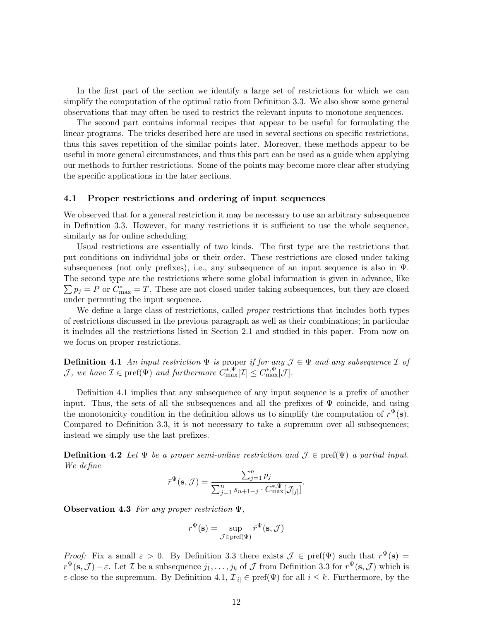In the first part of the section we identify a large set of restrictions for which we can simplify the computation of the optimal ratio from Definition 3.3. We also show some general observations that may often be used to restrict the relevant inputs to monotone sequences.

The second part contains informal recipes that appear to be useful for formulating the linear programs. The tricks described here are used in several sections on specific restrictions, thus this saves repetition of the similar points later. Moreover, these methods appear to be useful in more general circumstances, and thus this part can be used as a guide when applying our methods to further restrictions. Some of the points may become more clear after studying the specific applications in the later sections.

#### 4.1 Proper restrictions and ordering of input sequences

We observed that for a general restriction it may be necessary to use an arbitrary subsequence in Definition 3.3. However, for many restrictions it is sufficient to use the whole sequence, similarly as for online scheduling.

Usual restrictions are essentially of two kinds. The first type are the restrictions that put conditions on individual jobs or their order. These restrictions are closed under taking subsequences (not only prefixes), i.e., any subsequence of an input sequence is also in  $\Psi$ . The second type are the restrictions where some global information is given in advance, like  $\sum p_j = P$  or  $C_{\text{max}}^* = T$ . These are not closed under taking subsequences, but they are closed under permuting the input sequence.

We define a large class of restrictions, called *proper* restrictions that includes both types of restrictions discussed in the previous paragraph as well as their combinations; in particular it includes all the restrictions listed in Section 2.1 and studied in this paper. From now on we focus on proper restrictions.

**Definition 4.1** An input restriction  $\Psi$  is proper if for any  $\mathcal{J} \in \Psi$  and any subsequence  $\mathcal{I}$  of  $\mathcal{J},$  we have  $\mathcal{I} \in \text{pref}(\Psi)$  and furthermore  $C_{\max}^{*,\Psi}[\mathcal{I}] \leq C_{\max}^{*,\Psi}[\mathcal{J}].$ 

Definition 4.1 implies that any subsequence of any input sequence is a prefix of another input. Thus, the sets of all the subsequences and all the prefixes of  $\Psi$  coincide, and using the monotonicity condition in the definition allows us to simplify the computation of  $r^{\Psi}(\mathbf{s})$ . Compared to Definition 3.3, it is not necessary to take a supremum over all subsequences; instead we simply use the last prefixes.

**Definition 4.2** Let  $\Psi$  be a proper semi-online restriction and  $\mathcal{J} \in \text{pref}(\Psi)$  a partial input. We define

$$
\bar{r}^{\Psi}(\mathbf{s}, \mathcal{J}) = \frac{\sum_{j=1}^{n} p_j}{\sum_{j=1}^{n} s_{n+1-j} \cdot C_{\max}^{*,\Psi}[\mathcal{J}_{[j]}]}.
$$

**Observation 4.3** For any proper restriction  $\Psi$ ,

$$
r^{\Psi}(\mathbf{s}) = \sup_{\mathcal{J} \in \text{pref}(\Psi)} \bar{r}^{\Psi}(\mathbf{s}, \mathcal{J})
$$

Proof: Fix a small  $\varepsilon > 0$ . By Definition 3.3 there exists  $\mathcal{J} \in \text{pref}(\Psi)$  such that  $r^{\Psi}(\mathbf{s}) =$  $r^{\Psi}(\mathbf{s},\mathcal{J})-\varepsilon$ . Let  $\mathcal{I}$  be a subsequence  $j_1,\ldots,j_k$  of  $\mathcal{J}$  from Definition 3.3 for  $r^{\Psi}(\mathbf{s},\mathcal{J})$  which is ε-close to the supremum. By Definition 4.1,  $\mathcal{I}_{[i]} \in \text{pref}(\Psi)$  for all  $i \leq k$ . Furthermore, by the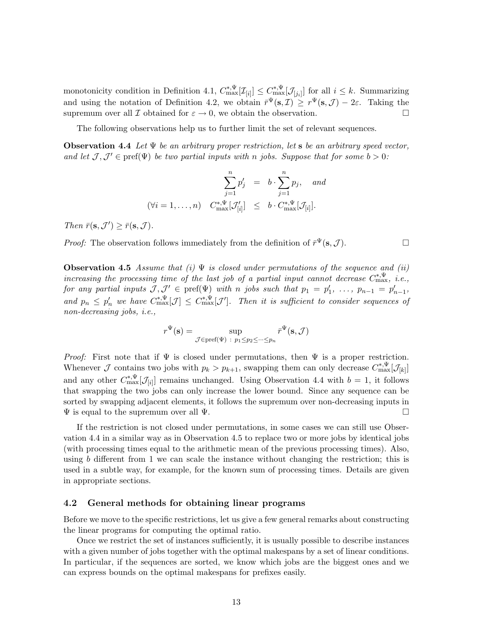monotonicity condition in Definition 4.1,  $C_{\text{max}}^{*,\Psi}[\mathcal{I}_{[i]}] \leq C_{\text{max}}^{*,\Psi}[\mathcal{J}_{[j_i]}]$  for all  $i \leq k$ . Summarizing and using the notation of Definition 4.2, we obtain  $\bar{r}^{\Psi}(\mathbf{s}, \mathcal{I}) \geq r^{\Psi}(\mathbf{s}, \mathcal{J}) - 2\varepsilon$ . Taking the supremum over all I obtained for  $\varepsilon \to 0$ , we obtain the observation.

The following observations help us to further limit the set of relevant sequences.

**Observation 4.4** Let  $\Psi$  be an arbitrary proper restriction, let s be an arbitrary speed vector, and let  $\mathcal{J}, \mathcal{J}' \in \text{pref}(\Psi)$  be two partial inputs with n jobs. Suppose that for some  $b > 0$ :

$$
\sum_{j=1}^{n} p'_j = b \cdot \sum_{j=1}^{n} p_j, \text{ and}
$$
  

$$
(\forall i = 1, ..., n) \quad C_{\text{max}}^{*,\Psi}[\mathcal{J}'_{[i]}] \leq b \cdot C_{\text{max}}^{*,\Psi}[\mathcal{J}_{[i]}].
$$

Then  $\bar{r}(\mathbf{s}, \mathcal{J}') \geq \bar{r}(\mathbf{s}, \mathcal{J}).$ 

*Proof:* The observation follows immediately from the definition of  $\bar{r}^{\Psi}(\mathbf{s}, \mathcal{J})$ .

**Observation 4.5** Assume that (i)  $\Psi$  is closed under permutations of the sequence and (ii) increasing the processing time of the last job of a partial input cannot decrease  $C_{\text{max}}^{*,\Psi}$ , i.e., for any partial inputs  $\mathcal{J}, \mathcal{J}' \in \text{pref}(\Psi)$  with n jobs such that  $p_1 = p'_1, \ldots, p_{n-1} = p'_{n-1}$ , and  $p_n \leq p'_n$  we have  $C^{*,\Psi}_{\max}[\mathcal{J}] \leq C^{*,\Psi}_{\max}[\mathcal{J}']$ . Then it is sufficient to consider sequences of non-decreasing jobs, i.e.,

$$
r^{\Psi}(\mathbf{s}) = \sup_{\mathcal{J} \in \text{pref}(\Psi) \; : \; p_1 \leq p_2 \leq \dots \leq p_n} \bar{r}^{\Psi}(\mathbf{s}, \mathcal{J})
$$

*Proof:* First note that if  $\Psi$  is closed under permutations, then  $\Psi$  is a proper restriction. Whenever J contains two jobs with  $p_k > p_{k+1}$ , swapping them can only decrease  $C_{\max}^{*,\Psi}[\mathcal{J}_{[k]}]$ and any other  $C_{\text{max}}^{*,\Psi}[\mathcal{J}_{[i]}]$  remains unchanged. Using Observation 4.4 with  $b=1$ , it follows that swapping the two jobs can only increase the lower bound. Since any sequence can be sorted by swapping adjacent elements, it follows the supremum over non-decreasing inputs in  $\Psi$  is equal to the supremum over all  $\Psi$ .

If the restriction is not closed under permutations, in some cases we can still use Observation 4.4 in a similar way as in Observation 4.5 to replace two or more jobs by identical jobs (with processing times equal to the arithmetic mean of the previous processing times). Also, using b different from 1 we can scale the instance without changing the restriction; this is used in a subtle way, for example, for the known sum of processing times. Details are given in appropriate sections.

### 4.2 General methods for obtaining linear programs

Before we move to the specific restrictions, let us give a few general remarks about constructing the linear programs for computing the optimal ratio.

Once we restrict the set of instances sufficiently, it is usually possible to describe instances with a given number of jobs together with the optimal makespans by a set of linear conditions. In particular, if the sequences are sorted, we know which jobs are the biggest ones and we can express bounds on the optimal makespans for prefixes easily.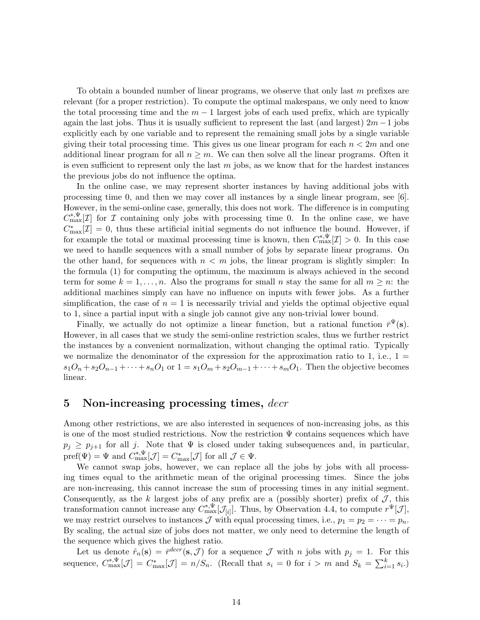To obtain a bounded number of linear programs, we observe that only last m prefixes are relevant (for a proper restriction). To compute the optimal makespans, we only need to know the total processing time and the  $m-1$  largest jobs of each used prefix, which are typically again the last jobs. Thus it is usually sufficient to represent the last (and largest)  $2m-1$  jobs explicitly each by one variable and to represent the remaining small jobs by a single variable giving their total processing time. This gives us one linear program for each  $n < 2m$  and one additional linear program for all  $n \geq m$ . We can then solve all the linear programs. Often it is even sufficient to represent only the last  $m$  jobs, as we know that for the hardest instances the previous jobs do not influence the optima.

In the online case, we may represent shorter instances by having additional jobs with processing time 0, and then we may cover all instances by a single linear program, see [6]. However, in the semi-online case, generally, this does not work. The difference is in computing  $C_{\text{max}}^{*,\Psi}[\mathcal{I}]$  for  $\mathcal I$  containing only jobs with processing time 0. In the online case, we have  $C_{\text{max}}^*[I] = 0$ , thus these artificial initial segments do not influence the bound. However, if for example the total or maximal processing time is known, then  $C_{\text{max}}^{*,\Psi}[\mathcal{I}] > 0$ . In this case we need to handle sequences with a small number of jobs by separate linear programs. On the other hand, for sequences with  $n < m$  jobs, the linear program is slightly simpler: In the formula (1) for computing the optimum, the maximum is always achieved in the second term for some  $k = 1, \ldots, n$ . Also the programs for small n stay the same for all  $m \geq n$ : the additional machines simply can have no influence on inputs with fewer jobs. As a further simplification, the case of  $n = 1$  is necessarily trivial and yields the optimal objective equal to 1, since a partial input with a single job cannot give any non-trivial lower bound.

Finally, we actually do not optimize a linear function, but a rational function  $\bar{r}^{\Psi}(\mathbf{s})$ . However, in all cases that we study the semi-online restriction scales, thus we further restrict the instances by a convenient normalization, without changing the optimal ratio. Typically we normalize the denominator of the expression for the approximation ratio to 1, i.e.,  $1 =$  $s_1O_n + s_2O_{n-1} + \cdots + s_nO_1$  or  $1 = s_1O_m + s_2O_{m-1} + \cdots + s_mO_1$ . Then the objective becomes linear.

### 5 Non-increasing processing times,  $decr$

Among other restrictions, we are also interested in sequences of non-increasing jobs, as this is one of the most studied restrictions. Now the restriction  $\Psi$  contains sequences which have  $p_j \geq p_{j+1}$  for all j. Note that  $\Psi$  is closed under taking subsequences and, in particular,  $\text{pref}(\Psi) = \Psi \text{ and } C^{\ast,\Psi}_{\text{max}}[\mathcal{J}] = C^{\ast}_{\text{max}}[\mathcal{J}] \text{ for all } \mathcal{J} \in \Psi.$ 

We cannot swap jobs, however, we can replace all the jobs by jobs with all processing times equal to the arithmetic mean of the original processing times. Since the jobs are non-increasing, this cannot increase the sum of processing times in any initial segment. Consequently, as the k largest jobs of any prefix are a (possibly shorter) prefix of  $J$ , this transformation cannot increase any  $C_{\text{max}}^{*,\Psi}[\mathcal{J}_{[i]}]$ . Thus, by Observation 4.4, to compute  $r^{\Psi}[\mathcal{J}]$ , we may restrict ourselves to instances  $\mathcal J$  with equal processing times, i.e.,  $p_1 = p_2 = \cdots = p_n$ . By scaling, the actual size of jobs does not matter, we only need to determine the length of the sequence which gives the highest ratio.

Let us denote  $\hat{r}_n(\mathbf{s}) = \bar{r}^{decr}(\mathbf{s}, \mathcal{J})$  for a sequence  $\mathcal J$  with n jobs with  $p_j = 1$ . For this sequence,  $C_{\max}^{*,\Psi}[\mathcal{J}] = C_{\max}^*[\mathcal{J}] = n/S_n$ . (Recall that  $s_i = 0$  for  $i > m$  and  $S_k = \sum_{i=1}^k s_i$ .)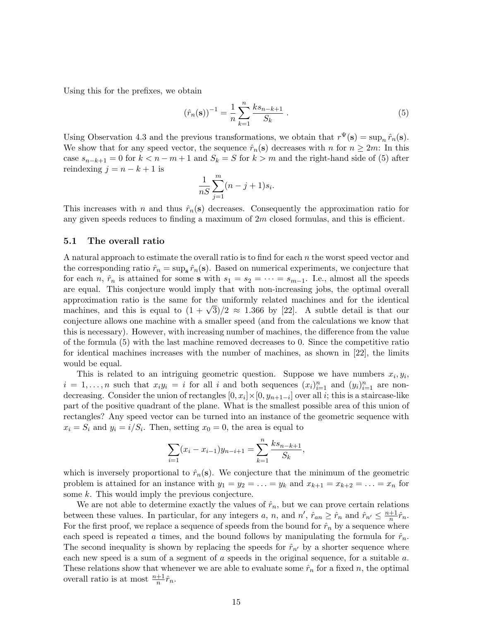Using this for the prefixes, we obtain

$$
(\hat{r}_n(\mathbf{s}))^{-1} = \frac{1}{n} \sum_{k=1}^n \frac{ks_{n-k+1}}{S_k} \,. \tag{5}
$$

Using Observation 4.3 and the previous transformations, we obtain that  $r^{\Psi}(\mathbf{s}) = \sup_n \hat{r}_n(\mathbf{s})$ . We show that for any speed vector, the sequence  $\hat{r}_n(s)$  decreases with n for  $n \geq 2m$ : In this case  $s_{n-k+1} = 0$  for  $k < n-m+1$  and  $S_k = S$  for  $k > m$  and the right-hand side of (5) after reindexing  $j = n - k + 1$  is

$$
\frac{1}{nS} \sum_{j=1}^{m} (n - j + 1)s_i.
$$

This increases with n and thus  $\hat{r}_n(s)$  decreases. Consequently the approximation ratio for any given speeds reduces to finding a maximum of  $2m$  closed formulas, and this is efficient.

#### 5.1 The overall ratio

A natural approach to estimate the overall ratio is to find for each  $n$  the worst speed vector and the corresponding ratio  $\hat{r}_n = \sup_{s} \hat{r}_n(s)$ . Based on numerical experiments, we conjecture that for each n,  $\hat{r}_n$  is attained for some **s** with  $s_1 = s_2 = \cdots = s_{m-1}$ . I.e., almost all the speeds are equal. This conjecture would imply that with non-increasing jobs, the optimal overall approximation ratio is the same for the uniformly related machines and for the identical approximation ratio is the same for the uniformly related machines and for the identical<br>machines, and this is equal to  $(1 + \sqrt{3})/2 \approx 1.366$  by [22]. A subtle detail is that our conjecture allows one machine with a smaller speed (and from the calculations we know that this is necessary). However, with increasing number of machines, the difference from the value of the formula (5) with the last machine removed decreases to 0. Since the competitive ratio for identical machines increases with the number of machines, as shown in [22], the limits would be equal.

This is related to an intriguing geometric question. Suppose we have numbers  $x_i, y_i$ ,  $i = 1, \ldots, n$  such that  $x_i y_i = i$  for all i and both sequences  $(x_i)_{i=1}^n$  and  $(y_i)_{i=1}^n$  are nondecreasing. Consider the union of rectangles  $[0, x_i] \times [0, y_{n+1-i}]$  over all *i*; this is a staircase-like part of the positive quadrant of the plane. What is the smallest possible area of this union of rectangles? Any speed vector can be turned into an instance of the geometric sequence with  $x_i = S_i$  and  $y_i = i/S_i$ . Then, setting  $x_0 = 0$ , the area is equal to

$$
\sum_{i=1}^{n} (x_i - x_{i-1}) y_{n-i+1} = \sum_{k=1}^{n} \frac{ks_{n-k+1}}{S_k},
$$

which is inversely proportional to  $\hat{r}_n(s)$ . We conjecture that the minimum of the geometric problem is attained for an instance with  $y_1 = y_2 = \ldots = y_k$  and  $x_{k+1} = x_{k+2} = \ldots = x_n$  for some k. This would imply the previous conjecture.

We are not able to determine exactly the values of  $\hat{r}_n$ , but we can prove certain relations between these values. In particular, for any integers a, n, and  $n'$ ,  $\hat{r}_{an} \geq \hat{r}_n$  and  $\hat{r}_{n'} \leq \frac{n+1}{n}$  $\frac{+1}{n}\hat{r}_n.$ For the first proof, we replace a sequence of speeds from the bound for  $\hat{r}_n$  by a sequence where each speed is repeated a times, and the bound follows by manipulating the formula for  $\hat{r}_n$ . The second inequality is shown by replacing the speeds for  $\hat{r}_{n'}$  by a shorter sequence where each new speed is a sum of a segment of a speeds in the original sequence, for a suitable a. These relations show that whenever we are able to evaluate some  $\hat{r}_n$  for a fixed n, the optimal overall ratio is at most  $\frac{n+1}{n}\hat{r}_n$ .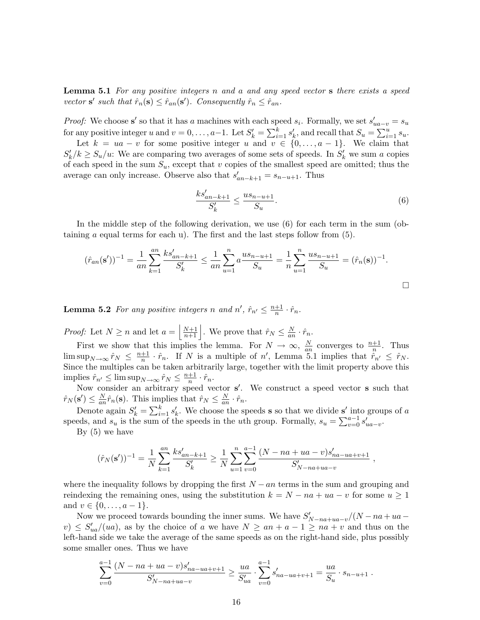**Lemma 5.1** For any positive integers n and a and any speed vector s there exists a speed vector **s'** such that  $\hat{r}_n(\mathbf{s}) \leq \hat{r}_{an}(\mathbf{s}')$ . Consequently  $\hat{r}_n \leq \hat{r}_{an}$ .

*Proof:* We choose s' so that it has a machines with each speed  $s_i$ . Formally, we set  $s'_{ua-v} = s_u$ for any positive integer u and  $v = 0, \ldots, a-1$ . Let  $S'_k = \sum_{i=1}^k s'_k$ , and recall that  $S_u = \sum_{i=1}^u s_u$ .

Let  $k = ua - v$  for some positive integer u and  $v \in \{0, ..., a - 1\}$ . We claim that  $S'_k/k \geq S_u/u$ : We are comparing two averages of some sets of speeds. In  $S'_k$  we sum a copies of each speed in the sum  $S_u$ , except that v copies of the smallest speed are omitted; thus the average can only increase. Observe also that  $s'_{an-k+1} = s_{n-u+1}$ . Thus

$$
\frac{ks'_{an-k+1}}{S'_k} \le \frac{us_{n-u+1}}{S_u}.\tag{6}
$$

,

In the middle step of the following derivation, we use  $(6)$  for each term in the sum (obtaining a equal terms for each u). The first and the last steps follow from  $(5)$ .

$$
(\hat{r}_{an}(\mathbf{s}'))^{-1} = \frac{1}{an} \sum_{k=1}^{an} \frac{ks'_{an-k+1}}{S'_k} \le \frac{1}{an} \sum_{u=1}^{n} a \frac{us_{n-u+1}}{S_u} = \frac{1}{n} \sum_{u=1}^{n} \frac{us_{n-u+1}}{S_u} = (\hat{r}_n(\mathbf{s}))^{-1}.
$$

**Lemma 5.2** For any positive integers n and  $n'$ ,  $\hat{r}_{n'} \leq \frac{n+1}{n}$  $\frac{+1}{n} \cdot \hat{r}_n$ .

*Proof:* Let  $N \ge n$  and let  $a = \left\lfloor \frac{N+1}{n+1} \right\rfloor$ . We prove that  $\hat{r}_N \le \frac{N}{ar}$  $\frac{N}{an} \cdot \hat{r}_n.$ 

First we show that this implies the lemma. For  $N \to \infty$ ,  $\frac{N}{\sigma^2}$  $\frac{N}{an}$  converges to  $\frac{n+1}{n}$ . Thus  $\limsup_{N\to\infty} \hat{r}_N \leq \frac{n+1}{n}$  $\frac{+1}{n} \cdot \hat{r}_n$ . If N is a multiple of n', Lemma 5.1 implies that  $\hat{r}_{n'} \leq \hat{r}_N$ . Since the multiples can be taken arbitrarily large, together with the limit property above this implies  $\hat{r}_{n'} \leq \limsup_{N \to \infty} \hat{r}_N \leq \frac{n+1}{n}$  $\frac{+1}{n} \cdot \hat{r}_n.$ 

Now consider an arbitrary speed vector s'. We construct a speed vector s such that  $\hat{r}_N(\mathbf{s}') \leq \frac{N}{a r}$  $\frac{N}{an}\hat{r}_n(\mathbf{s})$ . This implies that  $\hat{r}_N \leq \frac{N}{an}$  $\frac{N}{an} \cdot \hat{r}_n.$ 

Denote again  $S'_k = \sum_{i=1}^k s'_k$ . We choose the speeds **s** so that we divide s' into groups of a speeds, and  $s_u$  is the sum of the speeds in the uth group. Formally,  $s_u = \sum_{v=0}^{a-1} s'_{ua-v}$ .

By  $(5)$  we have

$$
(\hat{r}_N(\mathbf{s}'))^{-1} = \frac{1}{N} \sum_{k=1}^{an} \frac{ks'_{an-k+1}}{S'_k} \ge \frac{1}{N} \sum_{u=1}^n \sum_{v=0}^{a-1} \frac{(N-na+ua-v)s'_{na-ua+v+1}}{S'_{N-na+ua-v}}
$$

where the inequality follows by dropping the first  $N - an$  terms in the sum and grouping and reindexing the remaining ones, using the substitution  $k = N - na + ua - v$  for some  $u \ge 1$ and  $v \in \{0, \ldots, a-1\}.$ 

Now we proceed towards bounding the inner sums. We have  $S'_{N-na+ua-v}/(N-na+ua$  $v) \le S'_{ua}/(ua)$ , as by the choice of a we have  $N \ge an + a - 1 \ge na + v$  and thus on the left-hand side we take the average of the same speeds as on the right-hand side, plus possibly some smaller ones. Thus we have

$$
\sum_{v=0}^{a-1} \frac{(N-na+ua-v)s'_{na-ua+v+1}}{S'_{N-na+ua-v}} \geq \frac{ua}{S'_{ua}} \cdot \sum_{v=0}^{a-1} s'_{na-ua+v+1} = \frac{ua}{S_u} \cdot s_{n-u+1}.
$$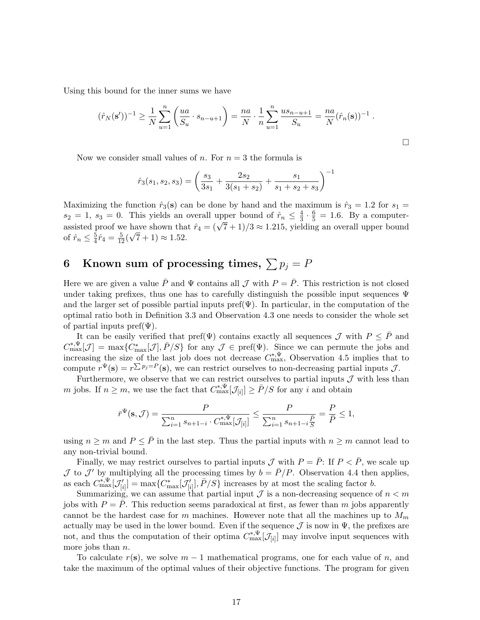Using this bound for the inner sums we have

$$
(\hat{r}_N(\mathbf{s}'))^{-1} \ge \frac{1}{N} \sum_{u=1}^n \left( \frac{ua}{S_u} \cdot s_{n-u+1} \right) = \frac{na}{N} \cdot \frac{1}{n} \sum_{u=1}^n \frac{us_{n-u+1}}{S_u} = \frac{na}{N} (\hat{r}_n(\mathbf{s}))^{-1} .
$$

Now we consider small values of *n*. For  $n = 3$  the formula is

$$
\hat{r}_3(s_1, s_2, s_3) = \left(\frac{s_3}{3s_1} + \frac{2s_2}{3(s_1 + s_2)} + \frac{s_1}{s_1 + s_2 + s_3}\right)^{-1}
$$

Maximizing the function  $\hat{r}_3(s)$  can be done by hand and the maximum is  $\hat{r}_3 = 1.2$  for  $s_1 =$  $s_2 = 1, s_3 = 0$ . This yields an overall upper bound of  $\hat{r}_n \leq \frac{4}{3}$  $\frac{4}{3} \cdot \frac{6}{5} = 1.6$ . By a computerassisted proof we have shown that  $\hat{r}_4 = (\sqrt{7} + 1)/3 \approx 1.215$ , yielding an overall upper bound of  $\hat{r}_n \leq \frac{5}{4}$  $\frac{5}{4}\hat{r}_4 = \frac{5}{12}(\sqrt{7}+1) \approx 1.52.$ 

# 6 Known sum of processing times,  $\sum p_j = P$

Here we are given a value  $\bar{P}$  and  $\Psi$  contains all  $\mathcal J$  with  $P = \bar{P}$ . This restriction is not closed under taking prefixes, thus one has to carefully distinguish the possible input sequences  $\Psi$ and the larger set of possible partial inputs pref $(\Psi)$ . In particular, in the computation of the optimal ratio both in Definition 3.3 and Observation 4.3 one needs to consider the whole set of partial inputs pref $(\Psi)$ .

It can be easily verified that pref( $\Psi$ ) contains exactly all sequences  $\mathcal J$  with  $P \leq \bar P$  and  $C_{\text{max}}^*\left[\mathcal{J}\right] = \max\{C_{\text{max}}^*\left[\mathcal{J}\right], \bar{P}/S\}$  for any  $\mathcal{J} \in \text{pref}(\Psi)$ . Since we can permute the jobs and increasing the size of the last job does not decrease  $C_{\text{max}}^{*,\Psi}$ , Observation 4.5 implies that to compute  $r^{\Psi}(\mathbf{s}) = r^{\sum p_j = P}(\mathbf{s})$ , we can restrict ourselves to non-decreasing partial inputs  $\mathcal{J}$ .

Furthermore, we observe that we can restrict ourselves to partial inputs  $\mathcal J$  with less than m jobs. If  $n \ge m$ , we use the fact that  $C_{\text{max}}^{*,\Psi}[\mathcal{J}_{[i]}] \ge \bar{P}/S$  for any i and obtain

$$
\bar{r}^{\Psi}(\mathbf{s},\mathcal{J})=\frac{P}{\sum_{i=1}^n s_{n+1-i}\cdot C_{\max}^{*,\Psi}[\mathcal{J}_{[i]}]} \leq \frac{P}{\sum_{i=1}^n s_{n+1-i}\frac{\bar{P}}{\bar{S}}}= \frac{P}{\bar{P}} \leq 1,
$$

using  $n \geq m$  and  $P \leq \overline{P}$  in the last step. Thus the partial inputs with  $n \geq m$  cannot lead to any non-trivial bound.

Finally, we may restrict ourselves to partial inputs  $\mathcal J$  with  $P = \bar P$ : If  $P < \bar P$ , we scale up  $\mathcal J$  to  $\mathcal J'$  by multiplying all the processing times by  $b = \bar P/P$ . Observation 4.4 then applies, as each  $C_{\text{max}}^{*,\Psi}[\mathcal{J}'_{[i]}] = \max\{C_{\text{max}}^*[\mathcal{J}'_{[i]}], \bar{P}/S\}$  increases by at most the scaling factor b.

Summarizing, we can assume that partial input  $\mathcal J$  is a non-decreasing sequence of  $n < m$ jobs with  $P = \overline{P}$ . This reduction seems paradoxical at first, as fewer than m jobs apparently cannot be the hardest case for m machines. However note that all the machines up to  $M_m$ actually may be used in the lower bound. Even if the sequence  $\mathcal J$  is now in  $\Psi$ , the prefixes are not, and thus the computation of their optima  $C_{\text{max}}^{*,\Psi}[\mathcal{J}_{[i]}]$  may involve input sequences with more jobs than  $n$ .

To calculate  $r(s)$ , we solve  $m-1$  mathematical programs, one for each value of n, and take the maximum of the optimal values of their objective functions. The program for given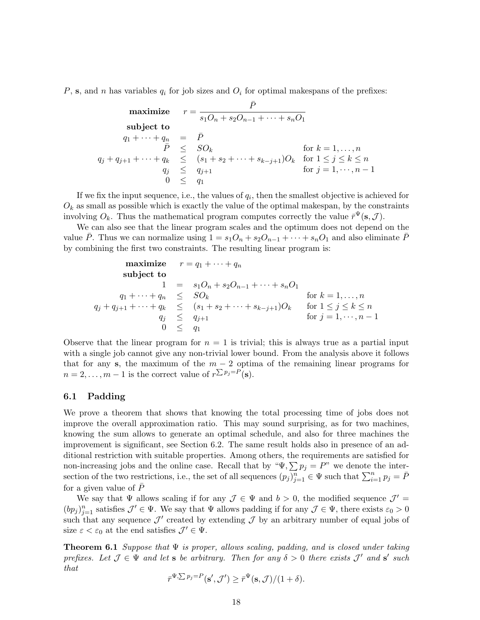P, s, and n has variables  $q_i$  for job sizes and  $O_i$  for optimal makespans of the prefixes:

$$
\begin{array}{ll}\n\text{maximize} & r = \frac{\bar{P}}{s_1 O_n + s_2 O_{n-1} + \dots + s_n O_1} \\
\text{subject to} \\
& q_1 + \dots + q_n = \bar{P} \\
& \bar{P} \leq SO_k \\
q_j + q_{j+1} + \dots + q_k \leq (s_1 + s_2 + \dots + s_{k-j+1}) O_k \quad \text{for } 1 \leq j \leq k \leq n \\
& q_j \leq q_{j+1} \quad \text{for } j = 1, \dots, n-1 \\
& 0 \leq q_1\n\end{array}
$$

If we fix the input sequence, i.e., the values of  $q_i$ , then the smallest objective is achieved for  $O_k$  as small as possible which is exactly the value of the optimal makespan, by the constraints involving  $O_k$ . Thus the mathematical program computes correctly the value  $\bar{r}^{\Psi}(\mathbf{s}, \mathcal{J})$ .

We can also see that the linear program scales and the optimum does not depend on the value  $\bar{P}$ . Thus we can normalize using  $1 = s_1O_n + s_2O_{n-1} + \cdots + s_nO_1$  and also eliminate  $\bar{P}$ by combining the first two constraints. The resulting linear program is:

maximize 
$$
r = q_1 + \cdots + q_n
$$
  
\nsubject to  
\n
$$
1 = s_1O_n + s_2O_{n-1} + \cdots + s_nO_1
$$
\n
$$
q_1 + \cdots + q_n \leq SO_k \qquad \text{for } k = 1, \ldots, n
$$
\n
$$
q_j + q_{j+1} + \cdots + q_k \leq (s_1 + s_2 + \cdots + s_{k-j+1})O_k \qquad \text{for } 1 \leq j \leq k \leq n
$$
\n
$$
q_j \leq q_{j+1} \qquad \text{for } j = 1, \ldots, n-1
$$
\n
$$
0 \leq q_1
$$

Observe that the linear program for  $n = 1$  is trivial; this is always true as a partial input with a single job cannot give any non-trivial lower bound. From the analysis above it follows that for any s, the maximum of the  $m - 2$  optima of the remaining linear programs for  $n = 2, \ldots, m - 1$  is the correct value of  $r^{\sum p_j = P}(\mathbf{s})$ .

#### 6.1 Padding

We prove a theorem that shows that knowing the total processing time of jobs does not improve the overall approximation ratio. This may sound surprising, as for two machines, knowing the sum allows to generate an optimal schedule, and also for three machines the improvement is significant, see Section 6.2. The same result holds also in presence of an additional restriction with suitable properties. Among others, the requirements are satisfied for non-increasing jobs and the online case. Recall that by " $\Psi$ ,  $\sum p_j = P$ " we denote the intersection of the two restrictions, i.e., the set of all sequences  $(p_j)_{j=1}^n \in \Psi$  such that  $\sum_{i=1}^n p_j = \bar{P}$ for a given value of  $P$ 

We say that  $\Psi$  allows scaling if for any  $\mathcal{J} \in \Psi$  and  $b > 0$ , the modified sequence  $\mathcal{J}' =$  $(bp_j)_{j=1}^n$  satisfies  $\mathcal{J}' \in \Psi$ . We say that  $\Psi$  allows padding if for any  $\mathcal{J} \in \Psi$ , there exists  $\varepsilon_0 > 0$ such that any sequence  $\mathcal{J}'$  created by extending  $\mathcal{J}$  by an arbitrary number of equal jobs of size  $\varepsilon < \varepsilon_0$  at the end satisfies  $\mathcal{J}' \in \Psi$ .

**Theorem 6.1** Suppose that  $\Psi$  is proper, allows scaling, padding, and is closed under taking prefixes. Let  $\mathcal{J} \in \Psi$  and let **s** be arbitrary. Then for any  $\delta > 0$  there exists  $\mathcal{J}'$  and **s'** such that

$$
\bar{r}^{\Psi,\sum p_j = P}(\mathbf{s}', \mathcal{J}') \ge \bar{r}^{\Psi}(\mathbf{s}, \mathcal{J})/(1+\delta).
$$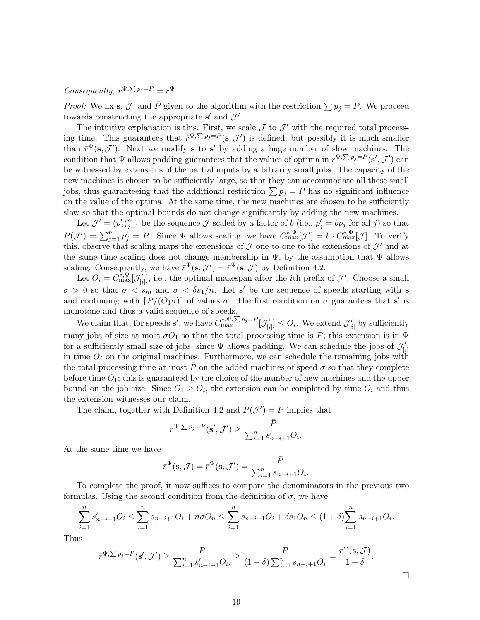Consequently,  $r^{\Psi,\sum p_j=P}=r^{\Psi}.$ 

*Proof:* We fix s, J, and  $\overline{P}$  given to the algorithm with the restriction  $\sum p_i = P$ . We proceed towards constructing the appropriate  $s'$  and  $\mathcal{J}'$ .

The intuitive explanation is this. First, we scale  $\mathcal J$  to  $\mathcal J'$  with the required total processing time. This guarantees that  $\bar{r}^{\Psi,\sum p_j=P}(\mathbf{s},\mathcal{J}')$  is defined, but possibly it is much smaller than  $\bar{r}^{\Psi}(\mathbf{s}, \mathcal{J}')$ . Next we modify **s** to **s'** by adding a huge number of slow machines. The condition that  $\Psi$  allows padding guarantees that the values of optima in  $\bar{r}^{\Psi,\sum p_j=P}(\mathbf{s}',\mathcal{J}')$  can be witnessed by extensions of the partial inputs by arbitrarily small jobs. The capacity of the new machines is chosen to be sufficiently large, so that they can accommodate all these small jobs, thus guaranteeing that the additional restriction  $\sum p_i = P$  has no significant influence on the value of the optima. At the same time, the new machines are chosen to be sufficiently slow so that the optimal bounds do not change significantly by adding the new machines.

Let  $\mathcal{J}'=(p'_j)_{j=1}^n$  be the sequence  $\mathcal J$  scaled by a factor of b (i.e.,  $p'_j=bp_j$  for all j) so that  $P(\mathcal{J}') = \sum_{j=1}^n p'_j = \bar{P}$ . Since  $\Psi$  allows scaling, we have  $C_{\text{max}}^{*,\Psi}[\mathcal{J}'] = b \cdot C_{\text{max}}^{*,\Psi}[\mathcal{J}]$ . To verify this, observe that scaling maps the extensions of  $\mathcal J$  one-to-one to the extensions of  $\mathcal J'$  and at the same time scaling does not change membership in  $\Psi$ , by the assumption that  $\Psi$  allows scaling. Consequently, we have  $\bar{r}^{\Psi}(\mathbf{s}, \mathcal{J}') = \bar{r}^{\Psi}(\mathbf{s}, \mathcal{J})$  by Definition 4.2.

Let  $O_i = C_{\text{max}}^{*,\Psi}[\mathcal{J}'_{[i]}],$  i.e., the optimal makespan after the *i*th prefix of  $\mathcal{J}'$ . Choose a small  $\sigma > 0$  so that  $\sigma < s_m$  and  $\sigma < s_{1}/n$ . Let s' be the sequence of speeds starting with s and continuing with  $\left[\bar{P}/(O_1\sigma)\right]$  of values  $\sigma$ . The first condition on  $\sigma$  guarantees that s' is monotone and thus a valid sequence of speeds.

We claim that, for speeds s', we have  $C_{\text{max}}^{*,\Psi,\sum p_j=P}[\mathcal{J}'_{[i]}] \leq O_i$ . We extend  $\mathcal{J}'_{[i]}$  by sufficiently many jobs of size at most  $\sigma O_1$  so that the total processing time is  $\bar{P}$ ; this extension is in  $\Psi$ for a sufficiently small size of jobs, since  $\Psi$  allows padding. We can schedule the jobs of  $\mathcal{J}'_{[i]}$ in time  $O_i$  on the original machines. Furthermore, we can schedule the remaining jobs with the total processing time at most  $\bar{P}$  on the added machines of speed  $\sigma$  so that they complete before time  $O_1$ ; this is guaranteed by the choice of the number of new machines and the upper bound on the job size. Since  $O_1 \geq O_i$ , the extension can be completed by time  $O_i$  and thus the extension witnesses our claim.

The claim, together with Definition 4.2 and  $P(\mathcal{J}') = \overline{P}$  implies that

$$
\bar{r}^{\Psi,\sum p_j=P}(\mathbf{s}',\mathcal{J}') \ge \frac{\bar{P}}{\sum_{i=1}^n s'_{n-i+1}O_i}.
$$

At the same time we have

$$
\bar{r}^{\Psi}(\mathbf{s}, \mathcal{J}) = \bar{r}^{\Psi}(\mathbf{s}, \mathcal{J}') = \frac{\bar{P}}{\sum_{i=1}^{n} s_{n-i+1} O_i}.
$$

To complete the proof, it now suffices to compare the denominators in the previous two formulas. Using the second condition from the definition of  $\sigma$ , we have

$$
\sum_{i=1}^{n} s'_{n-i+1} O_i \le \sum_{i=1}^{n} s_{n-i+1} O_i + n \sigma O_n \le \sum_{i=1}^{n} s_{n-i+1} O_i + \delta s_1 O_n \le (1+\delta) \sum_{i=1}^{n} s_{n-i+1} O_i.
$$

Thus

$$
\overline{r}^{\Psi,\sum p_j=P}(\mathbf{s}',\mathcal{J}')\geq \frac{\overline{P}}{\sum_{i=1}^n s'_{n-i+1}O_i.}\geq \frac{\overline{P}}{(1+\delta)\sum_{i=1}^n s_{n-i+1}O_i}=\frac{\overline{r}^{\Psi}(\mathbf{s},\mathcal{J})}{1+\delta}.
$$

 $\Box$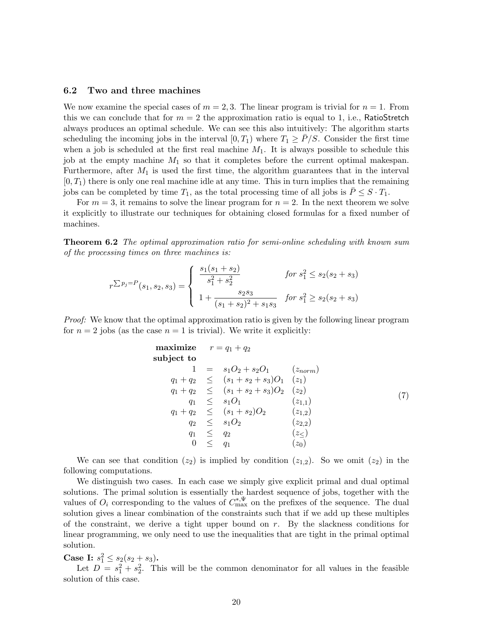#### 6.2 Two and three machines

We now examine the special cases of  $m = 2,3$ . The linear program is trivial for  $n = 1$ . From this we can conclude that for  $m = 2$  the approximation ratio is equal to 1, i.e., RatioStretch always produces an optimal schedule. We can see this also intuitively: The algorithm starts scheduling the incoming jobs in the interval  $[0, T_1)$  where  $T_1 \geq \overline{P}/S$ . Consider the first time when a job is scheduled at the first real machine  $M_1$ . It is always possible to schedule this job at the empty machine  $M_1$  so that it completes before the current optimal makespan. Furthermore, after  $M_1$  is used the first time, the algorithm guarantees that in the interval  $[0, T_1)$  there is only one real machine idle at any time. This in turn implies that the remaining jobs can be completed by time  $T_1$ , as the total processing time of all jobs is  $P \leq S \cdot T_1$ .

For  $m = 3$ , it remains to solve the linear program for  $n = 2$ . In the next theorem we solve it explicitly to illustrate our techniques for obtaining closed formulas for a fixed number of machines.

**Theorem 6.2** The optimal approximation ratio for semi-online scheduling with known sum of the processing times on three machines is:

$$
r^{\sum p_j = P}(s_1, s_2, s_3) = \begin{cases} \frac{s_1(s_1 + s_2)}{s_1^2 + s_2^2} & \text{for } s_1^2 \le s_2(s_2 + s_3) \\ 1 + \frac{s_2 s_3}{(s_1 + s_2)^2 + s_1 s_3} & \text{for } s_1^2 \ge s_2(s_2 + s_3) \end{cases}
$$

Proof: We know that the optimal approximation ratio is given by the following linear program for  $n = 2$  jobs (as the case  $n = 1$  is trivial). We write it explicitly:

maximize 
$$
r = q_1 + q_2
$$
  
\nsubject to  
\n
$$
1 = s_1O_2 + s_2O_1 \t (z_{norm})
$$
\n
$$
q_1 + q_2 \leq (s_1 + s_2 + s_3)O_1 \t (z_1)
$$
\n
$$
q_1 + q_2 \leq (s_1 + s_2 + s_3)O_2 \t (z_2)
$$
\n
$$
q_1 \leq s_1O_1 \t (z_{1,1})
$$
\n
$$
q_1 + q_2 \leq (s_1 + s_2)O_2 \t (z_{1,2})
$$
\n
$$
q_2 \leq s_1O_2 \t (z_{2,2})
$$
\n
$$
q_1 \leq q_2 \t (z_{\leq})
$$
\n
$$
0 \leq q_1 \t (z_0)
$$

We can see that condition  $(z_2)$  is implied by condition  $(z_{1,2})$ . So we omit  $(z_2)$  in the following computations.

We distinguish two cases. In each case we simply give explicit primal and dual optimal solutions. The primal solution is essentially the hardest sequence of jobs, together with the values of  $O_i$  corresponding to the values of  $C_{\text{max}}^{*,\Psi}$  on the prefixes of the sequence. The dual solution gives a linear combination of the constraints such that if we add up these multiples of the constraint, we derive a tight upper bound on  $r$ . By the slackness conditions for linear programming, we only need to use the inequalities that are tight in the primal optimal solution.

**Case I:**  $s_1^2 \leq s_2(s_2 + s_3)$ .

Let  $D = s_1^2 + s_2^2$ . This will be the common denominator for all values in the feasible solution of this case.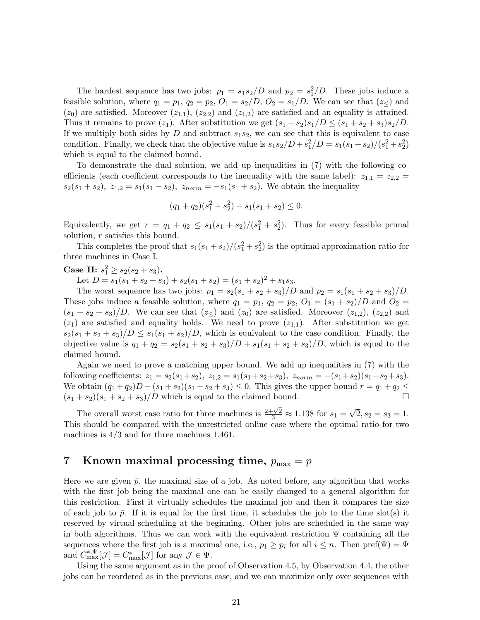The hardest sequence has two jobs:  $p_1 = s_1 s_2/D$  and  $p_2 = s_1^2/D$ . These jobs induce a feasible solution, where  $q_1 = p_1$ ,  $q_2 = p_2$ ,  $O_1 = s_2/D$ ,  $O_2 = s_1/D$ . We can see that  $(z_{\le})$  and  $(z_0)$  are satisfied. Moreover  $(z_{1,1}), (z_{2,2})$  and  $(z_{1,2})$  are satisfied and an equality is attained. Thus it remains to prove  $(z_1)$ . After substitution we get  $(s_1 + s_2)s_1/D \leq (s_1 + s_2 + s_3)s_2/D$ . If we multiply both sides by D and subtract  $s_1s_2$ , we can see that this is equivalent to case condition. Finally, we check that the objective value is  $s_1s_2/D + s_1^2/D = s_1(s_1 + s_2)/(s_1^2 + s_2^2)$ which is equal to the claimed bound.

To demonstrate the dual solution, we add up inequalities in (7) with the following coefficients (each coefficient corresponds to the inequality with the same label):  $z_{1,1} = z_{2,2}$  $s_2(s_1 + s_2), z_{1,2} = s_1(s_1 - s_2), z_{norm} = -s_1(s_1 + s_2).$  We obtain the inequality

$$
(q_1 + q_2)(s_1^2 + s_2^2) - s_1(s_1 + s_2) \le 0.
$$

Equivalently, we get  $r = q_1 + q_2 \leq s_1(s_1 + s_2)/(s_1^2 + s_2^2)$ . Thus for every feasible primal solution, r satisfies this bound.

This completes the proof that  $s_1(s_1 + s_2)/(s_1^2 + s_2^2)$  is the optimal approximation ratio for three machines in Case I.

**Case II:**  $s_1^2 \geq s_2(s_2 + s_3)$ .

Let  $D = s_1(s_1 + s_2 + s_3) + s_2(s_1 + s_2) = (s_1 + s_2)^2 + s_1s_3$ .

The worst sequence has two jobs:  $p_1 = s_2(s_1 + s_2 + s_3)/D$  and  $p_2 = s_1(s_1 + s_2 + s_3)/D$ . These jobs induce a feasible solution, where  $q_1 = p_1$ ,  $q_2 = p_2$ ,  $O_1 = (s_1 + s_2)/D$  and  $O_2 =$  $(s_1 + s_2 + s_3)/D$ . We can see that  $(z<sub>0</sub>)$  and  $(z_0)$  are satisfied. Moreover  $(z<sub>1,2</sub>)$ ,  $(z<sub>2,2</sub>)$  and  $(z_1)$  are satisfied and equality holds. We need to prove  $(z_{1,1})$ . After substitution we get  $s_2(s_1 + s_2 + s_3)/D \leq s_1(s_1 + s_2)/D$ , which is equivalent to the case condition. Finally, the objective value is  $q_1 + q_2 = s_2(s_1 + s_2 + s_3)/D + s_1(s_1 + s_2 + s_3)/D$ , which is equal to the claimed bound.

Again we need to prove a matching upper bound. We add up inequalities in (7) with the following coefficients:  $z_1 = s_2(s_1+s_2), z_{1,2} = s_1(s_1+s_2+s_3), z_{norm} = -(s_1+s_2)(s_1+s_2+s_3).$ We obtain  $(q_1 + q_2)D - (s_1 + s_2)(s_1 + s_2 + s_3) \leq 0$ . This gives the upper bound  $r = q_1 + q_2 \leq$  $(s_1 + s_2)(s_1 + s_2 + s_3)/D$  which is equal to the claimed bound.

The overall worst case ratio for three machines is  $\frac{2+\sqrt{2}}{3} \approx 1.138$  for  $s_1 =$ √  $2, s_2 = s_3 = 1.$ This should be compared with the unrestricted online case where the optimal ratio for two machines is 4/3 and for three machines 1.461.

# 7 Known maximal processing time,  $p_{\text{max}} = p$

Here we are given  $\bar{p}$ , the maximal size of a job. As noted before, any algorithm that works with the first job being the maximal one can be easily changed to a general algorithm for this restriction. First it virtually schedules the maximal job and then it compares the size of each job to  $\bar{p}$ . If it is equal for the first time, it schedules the job to the time slot(s) it reserved by virtual scheduling at the beginning. Other jobs are scheduled in the same way in both algorithms. Thus we can work with the equivalent restriction  $\Psi$  containing all the sequences where the first job is a maximal one, i.e.,  $p_1 \geq p_i$  for all  $i \leq n$ . Then  $\text{pref}(\Psi) = \Psi$ and  $C_{\text{max}}^{*,\Psi}[\mathcal{J}] = C_{\text{max}}^{*}[\mathcal{J}]$  for any  $\mathcal{J} \in \Psi$ .

Using the same argument as in the proof of Observation 4.5, by Observation 4.4, the other jobs can be reordered as in the previous case, and we can maximize only over sequences with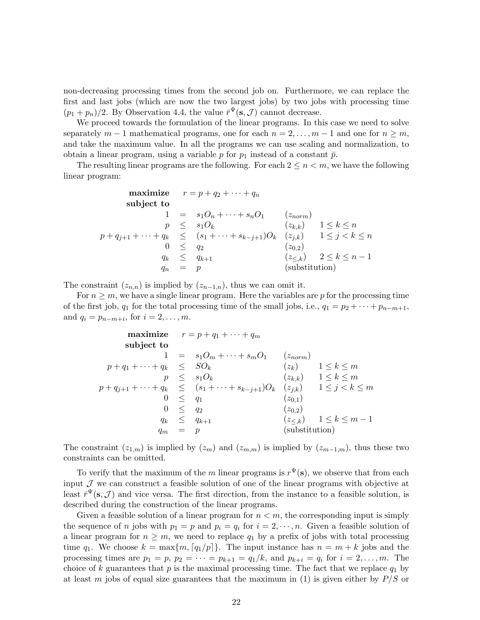non-decreasing processing times from the second job on. Furthermore, we can replace the first and last jobs (which are now the two largest jobs) by two jobs with processing time  $(p_1 + p_n)/2$ . By Observation 4.4, the value  $\bar{r}^{\Psi}(\mathbf{s}, \mathcal{J})$  cannot decrease.

We proceed towards the formulation of the linear programs. In this case we need to solve separately  $m-1$  mathematical programs, one for each  $n = 2, \ldots, m-1$  and one for  $n \geq m$ , and take the maximum value. In all the programs we can use scaling and normalization, to obtain a linear program, using a variable p for  $p_1$  instead of a constant  $\bar{p}$ .

The resulting linear programs are the following. For each  $2 \leq n \leq m$ , we have the following linear program:

|            | maximize $r = p + q_2 + \cdots + q_n$ |                                                                                                    |                |                                    |  |  |
|------------|---------------------------------------|----------------------------------------------------------------------------------------------------|----------------|------------------------------------|--|--|
| subject to |                                       |                                                                                                    |                |                                    |  |  |
|            |                                       | 1 = $s_1 O_n + \cdots + s_n O_1$ $(z_{norm})$                                                      |                |                                    |  |  |
|            |                                       | $p \leq s_1 O_k$                                                                                   |                | $(z_{k,k})$ $1 \leq k \leq n$      |  |  |
|            |                                       | $p + q_{j+1} + \cdots + q_k \le (s_1 + \cdots + s_{k-j+1})Q_k \ (z_{j,k}) \quad 1 \le j < k \le n$ |                |                                    |  |  |
|            | $0 \leq q_2$                          |                                                                                                    | $(z_{0,2})$    |                                    |  |  |
|            |                                       | $q_k \leq q_{k+1}$                                                                                 |                | $(z_{\leq k})$ $2 \leq k \leq n-1$ |  |  |
| $q_n$      | $=$ $p$                               |                                                                                                    | (substitution) |                                    |  |  |

The constraint  $(z_{n,n})$  is implied by  $(z_{n-1,n})$ , thus we can omit it.

For  $n \geq m$ , we have a single linear program. Here the variables are p for the processing time of the first job,  $q_1$  for the total processing time of the small jobs, i.e.,  $q_1 = p_2 + \cdots + p_{n-m+1}$ , and  $q_i = p_{n-m+i}$ , for  $i = 2, ..., m$ .

|                              | maximize $r = p + q_1 + \cdots + q_m$ |                                                                                                    |                |                                    |  |
|------------------------------|---------------------------------------|----------------------------------------------------------------------------------------------------|----------------|------------------------------------|--|
| subject to                   |                                       |                                                                                                    |                |                                    |  |
|                              |                                       | 1 = $s_1 O_m + \cdots + s_m O_1$ $(z_{norm})$                                                      |                |                                    |  |
| $p+q_1+\cdots+q_k \leq SO_k$ |                                       |                                                                                                    |                | $(z_k)$ $1 \leq k \leq m$          |  |
|                              |                                       | $p \leq s_1 O_k$                                                                                   |                | $(z_{k,k})$ $1 \leq k \leq m$      |  |
|                              |                                       | $p + q_{j+1} + \cdots + q_k \le (s_1 + \cdots + s_{k-j+1})O_k \ (z_{j,k}) \quad 1 \le j < k \le m$ |                |                                    |  |
|                              | $0 \leq q_1$                          |                                                                                                    | $(z_{0,1})$    |                                    |  |
| $\Omega$                     | $\leq$ $q_2$                          |                                                                                                    | $(z_{0,2})$    |                                    |  |
|                              |                                       | $q_k \leq q_{k+1}$                                                                                 |                | $(z_{\leq k})$ $1 \leq k \leq m-1$ |  |
|                              | $q_m = p$                             |                                                                                                    | (substitution) |                                    |  |
|                              |                                       |                                                                                                    |                |                                    |  |

The constraint  $(z_{1,m})$  is implied by  $(z_m)$  and  $(z_{m,m})$  is implied by  $(z_{m-1,m})$ , thus these two constraints can be omitted.

To verify that the maximum of the m linear programs is  $r^{\Psi}(\mathbf{s})$ , we observe that from each input  $J$  we can construct a feasible solution of one of the linear programs with objective at least  $\bar{r}^{\Psi}(\mathbf{s},\mathcal{J})$  and vice versa. The first direction, from the instance to a feasible solution, is described during the construction of the linear programs.

Given a feasible solution of a linear program for  $n < m$ , the corresponding input is simply the sequence of *n* jobs with  $p_1 = p$  and  $p_i = q_i$  for  $i = 2, \dots, n$ . Given a feasible solution of a linear program for  $n \geq m$ , we need to replace  $q_1$  by a prefix of jobs with total processing time  $q_1$ . We choose  $k = \max\{m, \lceil q_1/p \rceil\}$ . The input instance has  $n = m + k$  jobs and the processing times are  $p_1 = p, p_2 = \cdots = p_{k+1} = q_1/k$ , and  $p_{k+i} = q_i$  for  $i = 2, \ldots, m$ . The choice of k guarantees that p is the maximal processing time. The fact that we replace  $q_1$  by at least m jobs of equal size guarantees that the maximum in  $(1)$  is given either by  $P/S$  or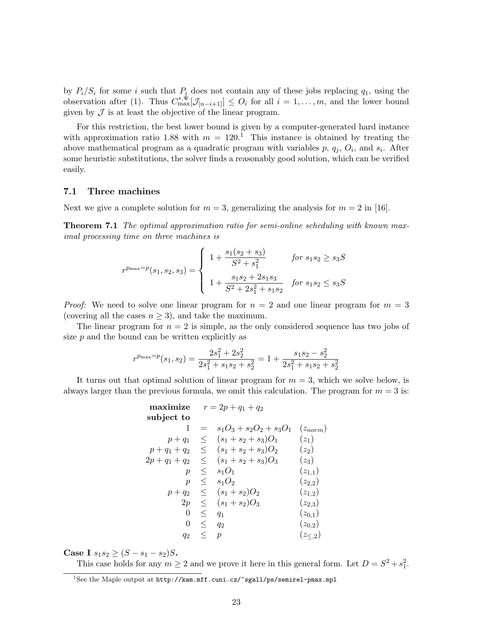by  $P_i/S_i$  for some i such that  $P_i$  does not contain any of these jobs replacing  $q_1$ , using the observation after (1). Thus  $C_{\max}^{*,\Psi}[\mathcal{J}_{[n-i+1]}] \leq O_i$  for all  $i = 1, \ldots, m$ , and the lower bound given by  $\mathcal J$  is at least the objective of the linear program.

For this restriction, the best lower bound is given by a computer-generated hard instance with approximation ratio 1.88 with  $m = 120$ .<sup>1</sup> This instance is obtained by treating the above mathematical program as a quadratic program with variables  $p, q_j, O_i$ , and  $s_i$ . After some heuristic substitutions, the solver finds a reasonably good solution, which can be verified easily.

#### 7.1 Three machines

Next we give a complete solution for  $m = 3$ , generalizing the analysis for  $m = 2$  in [16].

**Theorem 7.1** The optimal approximation ratio for semi-online scheduling with known maximal processing time on three machines is

$$
r^{p_{\max}=p}(s_1, s_2, s_3) = \begin{cases} 1 + \frac{s_1(s_2 + s_3)}{S^2 + s_1^2} & \text{for } s_1 s_2 \ge s_3 S \\ 1 + \frac{s_1 s_2 + 2s_1 s_3}{S^2 + 2s_1^2 + s_1 s_2} & \text{for } s_1 s_2 \le s_3 S \end{cases}
$$

*Proof:* We need to solve one linear program for  $n = 2$  and one linear program for  $m = 3$ (covering all the cases  $n \geq 3$ ), and take the maximum.

The linear program for  $n = 2$  is simple, as the only considered sequence has two jobs of size  $p$  and the bound can be written explicitly as

$$
r^{p_{\max}=p}(s_1,s_2)=\frac{2s_1^2+2s_2^2}{2s_1^2+s_1s_2+s_2^2}=1+\frac{s_1s_2-s_2^2}{2s_1^2+s_1s_2+s_2^2}
$$

It turns out that optimal solution of linear program for  $m = 3$ , which we solve below, is always larger than the previous formula, we omit this calculation. The program for  $m = 3$  is:

maximize 
$$
r = 2p + q_1 + q_2
$$
  
\nsubject to  
\n $1 = s_1O_3 + s_2O_2 + s_3O_1$   $(z_{norm})$   
\n $p + q_1 \leq (s_1 + s_2 + s_3)O_1$   $(z_1)$   
\n $p + q_1 + q_2 \leq (s_1 + s_2 + s_3)O_2$   $(z_2)$   
\n $2p + q_1 + q_2 \leq (s_1 + s_2 + s_3)O_3$   $(z_3)$   
\n $p \leq s_1O_1$   $(z_{1,1})$   
\n $p \leq s_1O_2$   $(z_{2,2})$   
\n $p + q_2 \leq (s_1 + s_2)O_2$   $(z_{1,2})$   
\n $2p \leq (s_1 + s_2)O_3$   $(z_{2,3})$   
\n $0 \leq q_1$   $(z_{0,1})$   
\n $0 \leq q_2$   $(z_{0,2})$   
\n $q_2 \leq p$   $(z_{\leq,2})$ 

Case I  $s_1s_2 \ge (S - s_1 - s_2)S$ .

This case holds for any  $m \ge 2$  and we prove it here in this general form. Let  $D = S^2 + s_1^2$ .

 $^1$ See the Maple output at http://kam.mff.cuni.cz/~sgall/ps/semirel-pmax.mpl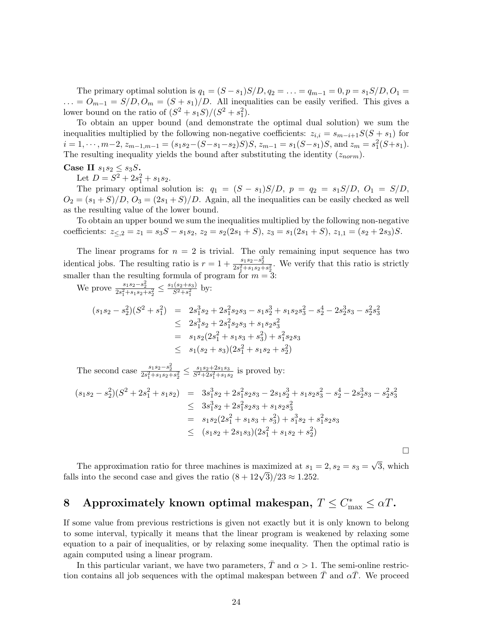The primary optimal solution is  $q_1 = (S - s_1)S/D, q_2 = \ldots = q_{m-1} = 0, p = s_1S/D, O_1 =$  $\ldots = O_{m-1} = S/D, O_m = (S + s_1)/D$ . All inequalities can be easily verified. This gives a lower bound on the ratio of  $(S^2 + s_1S)/(S^2 + s_1^2)$ .

To obtain an upper bound (and demonstrate the optimal dual solution) we sum the inequalities multiplied by the following non-negative coefficients:  $z_{i,i} = s_{m-i+1}S(S + s_1)$  for  $i = 1, \dots, m-2, z_{m-1,m-1} = (s_1s_2 - (S-s_1-s_2)S)S, z_{m-1} = s_1(S-s_1)S, \text{ and } z_m = s_1^2(S+s_1).$ The resulting inequality yields the bound after substituting the identity  $(z_{norm})$ .

#### Case II  $s_1s_2 \leq s_3S$ .

Let  $D = S^2 + 2s_1^2 + s_1s_2$ .

The primary optimal solution is:  $q_1 = (S - s_1)S/D$ ,  $p = q_2 = s_1S/D$ ,  $O_1 = S/D$ ,  $O_2 = (s_1 + S)/D$ ,  $O_3 = (2s_1 + S)/D$ . Again, all the inequalities can be easily checked as well as the resulting value of the lower bound.

To obtain an upper bound we sum the inequalities multiplied by the following non-negative coefficients:  $z_{\leq,2} = z_1 = s_3S - s_1s_2$ ,  $z_2 = s_2(2s_1 + S)$ ,  $z_3 = s_1(2s_1 + S)$ ,  $z_{1,1} = (s_2 + 2s_3)S$ .

The linear programs for  $n = 2$  is trivial. The only remaining input sequence has two identical jobs. The resulting ratio is  $r = 1 + \frac{s_1 s_2 - s_2^2}{2s_1^2 + s_1 s_2 + s_2^2}$ . We verify that this ratio is strictly smaller than the resulting formula of program for  $m = 3$ :

We prove  $\frac{s_1s_2-s_2^2}{2s_1^2+s_1s_2+s_2^2} \leq \frac{s_1(s_2+s_3)}{S^2+s_1^2}$  $\frac{(s_2+s_3)}{S^2+s_1^2}$  by:

$$
(s_1s_2 - s_2^2)(S^2 + s_1^2) = 2s_1^3s_2 + 2s_1^2s_2s_3 - s_1s_2^3 + s_1s_2s_3^2 - s_2^4 - 2s_2^3s_3 - s_2^2s_3^2
$$
  
\n
$$
\leq 2s_1^3s_2 + 2s_1^2s_2s_3 + s_1s_2s_3^2
$$
  
\n
$$
= s_1s_2(2s_1^2 + s_1s_3 + s_3^2) + s_1^2s_2s_3
$$
  
\n
$$
\leq s_1(s_2 + s_3)(2s_1^2 + s_1s_2 + s_2^2)
$$

The second case  $\frac{s_1s_2-s_2^2}{2s_1^2+s_1s_2+s_2^2} \le \frac{s_1s_2+2s_1s_3}{S^2+2s_1^2+s_1s_2}$  $\frac{s_1s_2+2s_1s_3}{S^2+2s_1^2+s_1s_2}$  is proved by:

$$
(s_1s_2 - s_2^2)(S^2 + 2s_1^2 + s_1s_2) = 3s_1^3s_2 + 2s_1^2s_2s_3 - 2s_1s_2^3 + s_1s_2s_3^2 - s_2^4 - 2s_2^3s_3 - s_2^2s_3^2
$$
  
\n
$$
\leq 3s_1^3s_2 + 2s_1^2s_2s_3 + s_1s_2s_3^2
$$
  
\n
$$
= s_1s_2(2s_1^2 + s_1s_3 + s_3^2) + s_1^3s_2 + s_1^2s_2s_3
$$
  
\n
$$
\leq (s_1s_2 + 2s_1s_3)(2s_1^2 + s_1s_2 + s_2^2)
$$

The approximation ratio for three machines is maximized at  $s_1 = 2, s_2 = s_3 =$ √ 3, which The approximation ratio for three machines is maximized at  $s_1$  = falls into the second case and gives the ratio  $(8 + 12\sqrt{3})/23 \approx 1.252$ .

 $\Box$ 

# 8 Approximately known optimal makespan,  $T \leq C_{\text{max}}^* \leq \alpha T$ .

If some value from previous restrictions is given not exactly but it is only known to belong to some interval, typically it means that the linear program is weakened by relaxing some equation to a pair of inequalities, or by relaxing some inequality. Then the optimal ratio is again computed using a linear program.

In this particular variant, we have two parameters,  $\overline{T}$  and  $\alpha > 1$ . The semi-online restriction contains all job sequences with the optimal makespan between  $\bar{T}$  and  $\alpha \bar{T}$ . We proceed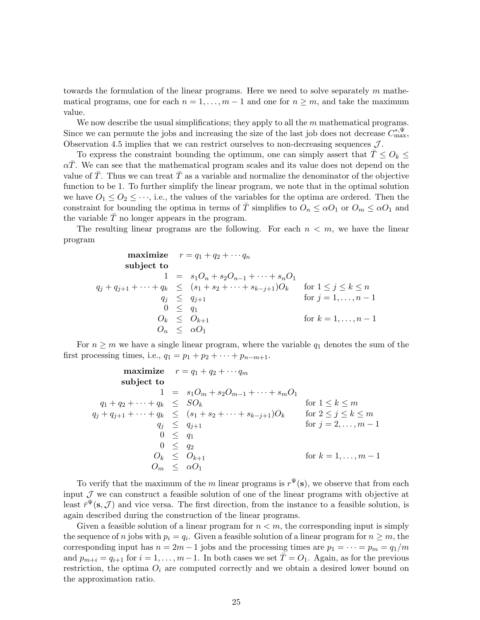towards the formulation of the linear programs. Here we need to solve separately  $m$  mathematical programs, one for each  $n = 1, \ldots, m - 1$  and one for  $n \geq m$ , and take the maximum value.

We now describe the usual simplifications; they apply to all the  $m$  mathematical programs. Since we can permute the jobs and increasing the size of the last job does not decrease  $C_{\text{max}}^{*,\Psi}$ , Observation 4.5 implies that we can restrict ourselves to non-decreasing sequences  $\mathcal{J}$ .

To express the constraint bounding the optimum, one can simply assert that  $\overline{T} \leq O_k \leq$  $\alpha$ T. We can see that the mathematical program scales and its value does not depend on the value of  $\overline{T}$ . Thus we can treat  $\overline{T}$  as a variable and normalize the denominator of the objective function to be 1. To further simplify the linear program, we note that in the optimal solution we have  $O_1 \leq O_2 \leq \cdots$ , i.e., the values of the variables for the optima are ordered. Then the constraint for bounding the optima in terms of  $\overline{T}$  simplifies to  $O_n \leq \alpha O_1$  or  $O_m \leq \alpha O_1$  and the variable  $T$  no longer appears in the program.

The resulting linear programs are the following. For each  $n < m$ , we have the linear program

maximize 
$$
r = q_1 + q_2 + \cdots + q_n
$$
  
\nsubject to  
\n
$$
1 = s_1O_n + s_2O_{n-1} + \cdots + s_nO_1
$$
\n
$$
q_j + q_{j+1} + \cdots + q_k \le (s_1 + s_2 + \cdots + s_{k-j+1})O_k \quad \text{for } 1 \le j \le k \le n
$$
\n
$$
q_j \le q_{j+1} \quad \text{for } j = 1, \ldots, n-1
$$
\n
$$
0 \le q_1 \quad O_k \le O_{k+1} \quad \text{for } k = 1, \ldots, n-1
$$
\n
$$
O_n \le \alpha O_1
$$

For  $n \geq m$  we have a single linear program, where the variable  $q_1$  denotes the sum of the first processing times, i.e.,  $q_1 = p_1 + p_2 + \cdots + p_{n-m+1}$ .

$$
\begin{array}{ll}\n\text{maximize} & r = q_1 + q_2 + \cdots q_m \\
\text{subject to} & 1 & = s_1 O_m + s_2 O_{m-1} + \cdots + s_m O_1 \\
q_1 + q_2 + \cdots + q_k & \leq & SO_k \\
q_j + q_{j+1} + \cdots + q_k & \leq & (s_1 + s_2 + \cdots + s_{k-j+1}) O_k \\
q_j & \leq & q_{j+1} & \text{for } 2 \leq j \leq k \leq m \\
q_j & \leq & q_{j+1} & \text{for } j = 2, \ldots, m-1 \\
0 & \leq & q_2 & \text{for } k = 1, \ldots, m-1 \\
O_m & \leq & o_0 \end{array}
$$

To verify that the maximum of the m linear programs is  $r^{\Psi}(\mathbf{s})$ , we observe that from each input  $\mathcal J$  we can construct a feasible solution of one of the linear programs with objective at least  $\bar{r}^{\Psi}(\mathbf{s},\mathcal{J})$  and vice versa. The first direction, from the instance to a feasible solution, is again described during the construction of the linear programs.

Given a feasible solution of a linear program for  $n < m$ , the corresponding input is simply the sequence of *n* jobs with  $p_i = q_i$ . Given a feasible solution of a linear program for  $n \geq m$ , the corresponding input has  $n = 2m - 1$  jobs and the processing times are  $p_1 = \cdots = p_m = q_1/m$ and  $p_{m+i} = q_{i+1}$  for  $i = 1, ..., m-1$ . In both cases we set  $T = O_1$ . Again, as for the previous restriction, the optima  $O_i$  are computed correctly and we obtain a desired lower bound on the approximation ratio.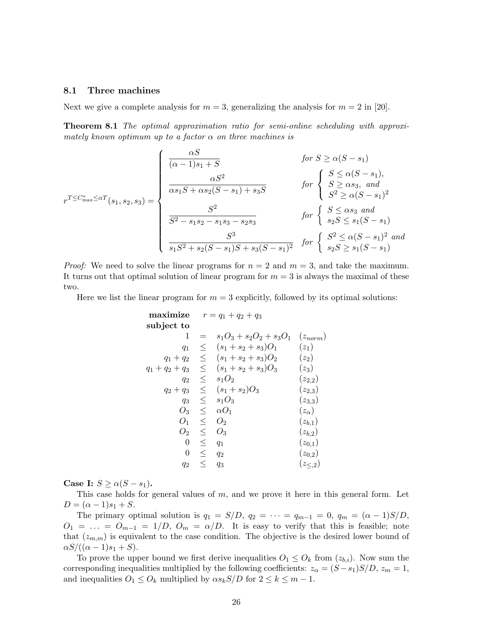#### 8.1 Three machines

Next we give a complete analysis for  $m = 3$ , generalizing the analysis for  $m = 2$  in [20].

Theorem 8.1 The optimal approximation ratio for semi-online scheduling with approximately known optimum up to a factor  $\alpha$  on three machines is

$$
r^{T \leq C_{\max}^* \leq \alpha T}(s_1, s_2, s_3) = \begin{cases} \frac{\alpha S}{(\alpha - 1)s_1 + S} & \text{for } S \geq \alpha (S - s_1) \\ \frac{\alpha S^2}{\alpha s_1 S + \alpha s_2 (S - s_1) + s_3 S} & \text{for } \begin{cases} S \leq \alpha (S - s_1), \\ S \geq \alpha s_3, \text{ and } \\ S^2 \geq \alpha (S - s_1)^2 \end{cases} \\ \frac{S^2}{S^2 - s_1 s_2 - s_1 s_3 - s_2 s_3} & \text{for } \begin{cases} S \leq \alpha s_3 \text{ and } \\ s_2 S \leq s_1 (S - s_1) \end{cases} \\ \frac{S^3}{s_1 S^2 + s_2 (S - s_1) S + s_3 (S - s_1)^2} & \text{for } \begin{cases} S^2 \leq \alpha (S - s_1)^2 \text{ and } \\ s_2 S \geq s_1 (S - s_1) \end{cases} \end{cases}
$$

*Proof:* We need to solve the linear programs for  $n = 2$  and  $m = 3$ , and take the maximum. It turns out that optimal solution of linear program for  $m = 3$  is always the maximal of these two.

Here we list the linear program for  $m = 3$  explicitly, followed by its optimal solutions:

maximize 
$$
r = q_1 + q_2 + q_3
$$
  
\nsubject to  
\n $1 = s_1O_3 + s_2O_2 + s_3O_1$   $(z_{norm})$   
\n $q_1 \leq (s_1 + s_2 + s_3)O_1$   $(z_1)$   
\n $q_1 + q_2 \leq (s_1 + s_2 + s_3)O_2$   $(z_2)$   
\n $q_1 + q_2 + q_3 \leq (s_1 + s_2 + s_3)O_3$   $(z_3)$   
\n $q_2 \leq s_1O_2$   $(z_{2,2})$   
\n $q_2 + q_3 \leq (s_1 + s_2)O_3$   $(z_{2,3})$   
\n $q_3 \leq s_1O_3$   $(z_{3,3})$   
\n $O_3 \leq \alpha O_1$   $(z_{\alpha})$   
\n $O_1 \leq O_2$   $(z_{b,1})$   
\n $O_2 \leq O_3$   $(z_{b,2})$   
\n $0 \leq q_1$   $(z_{0,1})$   
\n $0 \leq q_2$   $(z_{0,2})$   
\n $q_2 \leq q_3$   $(z_{\leq,2})$ 

Case I:  $S \geq \alpha(S - s_1)$ .

This case holds for general values of  $m$ , and we prove it here in this general form. Let  $D = (\alpha - 1)s_1 + S.$ 

The primary optimal solution is  $q_1 = S/D$ ,  $q_2 = \cdots = q_{m-1} = 0$ ,  $q_m = (\alpha - 1)S/D$ ,  $O_1 = \ldots = O_{m-1} = 1/D$ ,  $O_m = \alpha/D$ . It is easy to verify that this is feasible; note that  $(z_{m,m})$  is equivalent to the case condition. The objective is the desired lower bound of  $\alpha S/((\alpha-1)s_1+S).$ 

To prove the upper bound we first derive inequalities  $O_1 \leq O_k$  from  $(z_{b,i})$ . Now sum the corresponding inequalities multiplied by the following coefficients:  $z_{\alpha} = (S - s_1)S/D$ ,  $z_m = 1$ , and inequalities  $O_1 \leq O_k$  multiplied by  $\alpha s_k S/D$  for  $2 \leq k \leq m-1$ .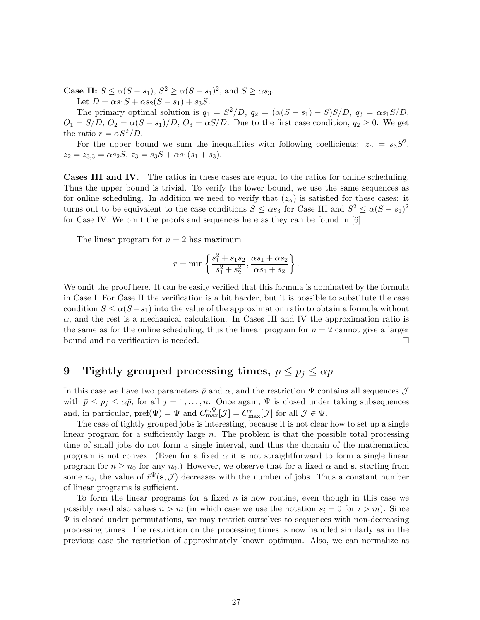**Case II:**  $S \leq \alpha(S - s_1)$ ,  $S^2 \geq \alpha(S - s_1)^2$ , and  $S \geq \alpha s_3$ . Let  $D = \alpha s_1 S + \alpha s_2 (S - s_1) + s_3 S$ .

The primary optimal solution is  $q_1 = S^2/D$ ,  $q_2 = (\alpha(S - s_1) - S)S/D$ ,  $q_3 = \alpha s_1 S/D$ ,  $O_1 = S/D$ ,  $O_2 = \alpha(S - s_1)/D$ ,  $O_3 = \alpha S/D$ . Due to the first case condition,  $q_2 \geq 0$ . We get the ratio  $r = \alpha S^2/D$ .

For the upper bound we sum the inequalities with following coefficients:  $z_{\alpha} = s_3 S^2$ ,  $z_2 = z_{3,3} = \alpha s_2 S, z_3 = s_3 S + \alpha s_1 (s_1 + s_3).$ 

Cases III and IV. The ratios in these cases are equal to the ratios for online scheduling. Thus the upper bound is trivial. To verify the lower bound, we use the same sequences as for online scheduling. In addition we need to verify that  $(z_{\alpha})$  is satisfied for these cases: it turns out to be equivalent to the case conditions  $S \leq \alpha s_3$  for Case III and  $S^2 \leq \alpha (S - s_1)^2$ for Case IV. We omit the proofs and sequences here as they can be found in [6].

The linear program for  $n = 2$  has maximum

$$
r = \min \left\{ \frac{s_1^2 + s_1 s_2}{s_1^2 + s_2^2}, \frac{\alpha s_1 + \alpha s_2}{\alpha s_1 + s_2} \right\}.
$$

We omit the proof here. It can be easily verified that this formula is dominated by the formula in Case I. For Case II the verification is a bit harder, but it is possible to substitute the case condition  $S \leq \alpha(S - s_1)$  into the value of the approximation ratio to obtain a formula without  $\alpha$ , and the rest is a mechanical calculation. In Cases III and IV the approximation ratio is the same as for the online scheduling, thus the linear program for  $n = 2$  cannot give a larger bound and no verification is needed.

# 9 Tightly grouped processing times,  $p \leq p_j \leq \alpha p$

In this case we have two parameters  $\bar{p}$  and  $\alpha$ , and the restriction  $\Psi$  contains all sequences  $\mathcal J$ with  $\bar{p} \leq p_j \leq \alpha \bar{p}$ , for all  $j = 1, \ldots, n$ . Once again,  $\Psi$  is closed under taking subsequences and, in particular,  $\text{pref}(\Psi) = \Psi$  and  $C_{\text{max}}^{*,\Psi}[\mathcal{J}] = C_{\text{max}}^*[\mathcal{J}]$  for all  $\mathcal{J} \in \Psi$ .

The case of tightly grouped jobs is interesting, because it is not clear how to set up a single linear program for a sufficiently large  $n$ . The problem is that the possible total processing time of small jobs do not form a single interval, and thus the domain of the mathematical program is not convex. (Even for a fixed  $\alpha$  it is not straightforward to form a single linear program for  $n \ge n_0$  for any  $n_0$ .) However, we observe that for a fixed  $\alpha$  and s, starting from some  $n_0$ , the value of  $\bar{r}^{\Psi}(\mathbf{s}, \mathcal{J})$  decreases with the number of jobs. Thus a constant number of linear programs is sufficient.

To form the linear programs for a fixed  $n$  is now routine, even though in this case we possibly need also values  $n > m$  (in which case we use the notation  $s_i = 0$  for  $i > m$ ). Since  $\Psi$  is closed under permutations, we may restrict ourselves to sequences with non-decreasing processing times. The restriction on the processing times is now handled similarly as in the previous case the restriction of approximately known optimum. Also, we can normalize as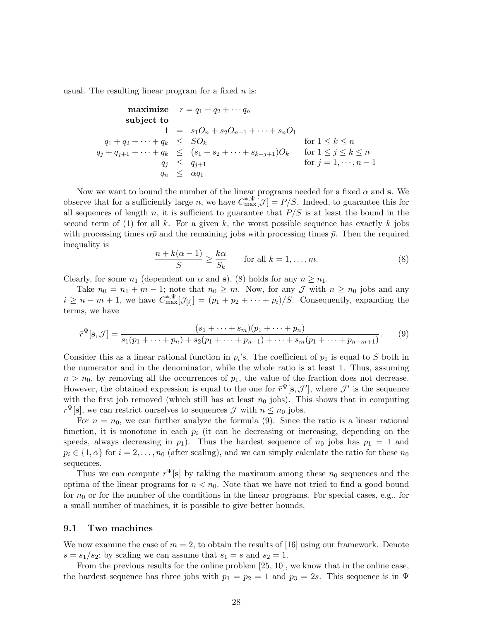usual. The resulting linear program for a fixed  $n$  is:

$$
\begin{array}{ll}\n\text{maximize} & r = q_1 + q_2 + \cdots q_n \\
\text{subject to} \\
& 1 = s_1 O_n + s_2 O_{n-1} + \cdots + s_n O_1 \\
& q_1 + q_2 + \cdots + q_k \leq SO_k \\
& q_j + q_{j+1} + \cdots + q_k \leq (s_1 + s_2 + \cdots + s_{k-j+1}) O_k \\
& \text{for } 1 \leq j \leq k \leq n \\
& q_j \leq q_{j+1} \\
& q_n \leq \alpha q_1\n\end{array}
$$

Now we want to bound the number of the linear programs needed for a fixed  $\alpha$  and s. We observe that for a sufficiently large n, we have  $C_{\text{max}}^{*,\Psi}[\mathcal{J}] = P/S$ . Indeed, to guarantee this for all sequences of length n, it is sufficient to guarantee that  $P/S$  is at least the bound in the second term of (1) for all k. For a given k, the worst possible sequence has exactly k jobs with processing times  $\alpha \bar{p}$  and the remaining jobs with processing times  $\bar{p}$ . Then the required inequality is

$$
\frac{n + k(\alpha - 1)}{S} \ge \frac{k\alpha}{S_k} \qquad \text{for all } k = 1, \dots, m. \tag{8}
$$

Clearly, for some  $n_1$  (dependent on  $\alpha$  and s), (8) holds for any  $n \geq n_1$ .

Take  $n_0 = n_1 + m - 1$ ; note that  $n_0 \geq m$ . Now, for any  $\mathcal J$  with  $n \geq n_0$  jobs and any  $i \geq n-m+1$ , we have  $C_{\text{max}}^{*,\Psi}[\mathcal{J}_{[i]}] = (p_1+p_2+\cdots+p_i)/S$ . Consequently, expanding the terms, we have

$$
\bar{r}^{\Psi}[\mathbf{s}, \mathcal{J}] = \frac{(s_1 + \dots + s_m)(p_1 + \dots + p_n)}{s_1(p_1 + \dots + p_n) + s_2(p_1 + \dots + p_{n-1}) + \dots + s_m(p_1 + \dots + p_{n-m+1})}.
$$
(9)

Consider this as a linear rational function in  $p_i$ 's. The coefficient of  $p_1$  is equal to S both in the numerator and in the denominator, while the whole ratio is at least 1. Thus, assuming  $n > n_0$ , by removing all the occurrences of  $p_1$ , the value of the fraction does not decrease. However, the obtained expression is equal to the one for  $\bar{r}^{\Psi}$  (s,  $\mathcal{J}'$ ), where  $\mathcal{J}'$  is the sequence with the first job removed (which still has at least  $n_0$  jobs). This shows that in computing  $r^{\Psi}[\mathbf{s}]$ , we can restrict ourselves to sequences  $\mathcal{J}$  with  $n \leq n_0$  jobs.

For  $n = n_0$ , we can further analyze the formula (9). Since the ratio is a linear rational function, it is monotone in each  $p_i$  (it can be decreasing or increasing, depending on the speeds, always decreasing in  $p_1$ ). Thus the hardest sequence of  $n_0$  jobs has  $p_1 = 1$  and  $p_i \in \{1, \alpha\}$  for  $i = 2, \ldots, n_0$  (after scaling), and we can simply calculate the ratio for these  $n_0$ sequences.

Thus we can compute  $r^{\Psi}[\mathbf{s}]$  by taking the maximum among these  $n_0$  sequences and the optima of the linear programs for  $n < n_0$ . Note that we have not tried to find a good bound for  $n_0$  or for the number of the conditions in the linear programs. For special cases, e.g., for a small number of machines, it is possible to give better bounds.

#### 9.1 Two machines

We now examine the case of  $m = 2$ , to obtain the results of [16] using our framework. Denote  $s = s_1/s_2$ ; by scaling we can assume that  $s_1 = s$  and  $s_2 = 1$ .

From the previous results for the online problem [25, 10], we know that in the online case, the hardest sequence has three jobs with  $p_1 = p_2 = 1$  and  $p_3 = 2s$ . This sequence is in  $\Psi$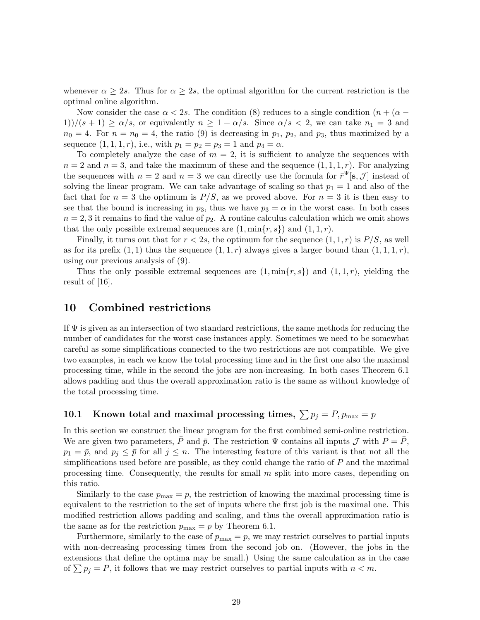whenever  $\alpha \geq 2s$ . Thus for  $\alpha \geq 2s$ , the optimal algorithm for the current restriction is the optimal online algorithm.

Now consider the case  $\alpha < 2s$ . The condition (8) reduces to a single condition  $(n + (\alpha 1)$ / $(s + 1) \ge \alpha/s$ , or equivalently  $n \ge 1 + \alpha/s$ . Since  $\alpha/s < 2$ , we can take  $n_1 = 3$  and  $n_0 = 4$ . For  $n = n_0 = 4$ , the ratio (9) is decreasing in  $p_1$ ,  $p_2$ , and  $p_3$ , thus maximized by a sequence  $(1, 1, 1, r)$ , i.e., with  $p_1 = p_2 = p_3 = 1$  and  $p_4 = \alpha$ .

To completely analyze the case of  $m = 2$ , it is sufficient to analyze the sequences with  $n = 2$  and  $n = 3$ , and take the maximum of these and the sequence  $(1, 1, 1, r)$ . For analyzing the sequences with  $n = 2$  and  $n = 3$  we can directly use the formula for  $\bar{r}^{\Psi}$  [s,  $\mathcal{J}$ ] instead of solving the linear program. We can take advantage of scaling so that  $p_1 = 1$  and also of the fact that for  $n = 3$  the optimum is  $P/S$ , as we proved above. For  $n = 3$  it is then easy to see that the bound is increasing in  $p_3$ , thus we have  $p_3 = \alpha$  in the worst case. In both cases  $n = 2, 3$  it remains to find the value of  $p_2$ . A routine calculus calculation which we omit shows that the only possible extremal sequences are  $(1, \min\{r, s\})$  and  $(1, 1, r)$ .

Finally, it turns out that for  $r < 2s$ , the optimum for the sequence  $(1,1,r)$  is  $P/S$ , as well as for its prefix  $(1,1)$  thus the sequence  $(1,1,r)$  always gives a larger bound than  $(1,1,1,r)$ , using our previous analysis of (9).

Thus the only possible extremal sequences are  $(1, \min\{r, s\})$  and  $(1, 1, r)$ , yielding the result of  $|16|$ .

## 10 Combined restrictions

If  $\Psi$  is given as an intersection of two standard restrictions, the same methods for reducing the number of candidates for the worst case instances apply. Sometimes we need to be somewhat careful as some simplifications connected to the two restrictions are not compatible. We give two examples, in each we know the total processing time and in the first one also the maximal processing time, while in the second the jobs are non-increasing. In both cases Theorem 6.1 allows padding and thus the overall approximation ratio is the same as without knowledge of the total processing time.

# 10.1 Known total and maximal processing times,  $\sum p_j = P$ ,  $p_{\text{max}} = p$

In this section we construct the linear program for the first combined semi-online restriction. We are given two parameters,  $\bar{P}$  and  $\bar{p}$ . The restriction  $\Psi$  contains all inputs  $\mathcal{J}$  with  $P = \bar{P}$ ,  $p_1 = \bar{p}$ , and  $p_j \leq \bar{p}$  for all  $j \leq n$ . The interesting feature of this variant is that not all the simplifications used before are possible, as they could change the ratio of  $P$  and the maximal processing time. Consequently, the results for small  $m$  split into more cases, depending on this ratio.

Similarly to the case  $p_{\text{max}} = p$ , the restriction of knowing the maximal processing time is equivalent to the restriction to the set of inputs where the first job is the maximal one. This modified restriction allows padding and scaling, and thus the overall approximation ratio is the same as for the restriction  $p_{\text{max}} = p$  by Theorem 6.1.

Furthermore, similarly to the case of  $p_{\text{max}} = p$ , we may restrict ourselves to partial inputs with non-decreasing processing times from the second job on. (However, the jobs in the extensions that define the optima may be small.) Using the same calculation as in the case of  $\sum p_i = P$ , it follows that we may restrict ourselves to partial inputs with  $n < m$ .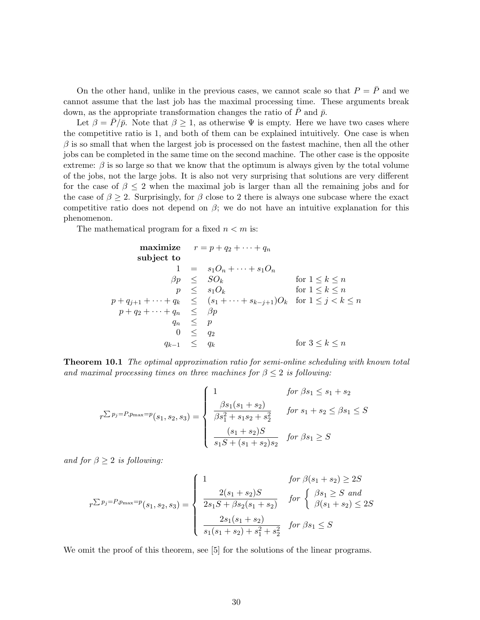On the other hand, unlike in the previous cases, we cannot scale so that  $P = \overline{P}$  and we cannot assume that the last job has the maximal processing time. These arguments break down, as the appropriate transformation changes the ratio of  $P$  and  $\bar{p}$ .

Let  $\beta = \bar{P}/\bar{p}$ . Note that  $\beta \geq 1$ , as otherwise  $\Psi$  is empty. Here we have two cases where the competitive ratio is 1, and both of them can be explained intuitively. One case is when  $\beta$  is so small that when the largest job is processed on the fastest machine, then all the other jobs can be completed in the same time on the second machine. The other case is the opposite extreme:  $\beta$  is so large so that we know that the optimum is always given by the total volume of the jobs, not the large jobs. It is also not very surprising that solutions are very different for the case of  $\beta \leq 2$  when the maximal job is larger than all the remaining jobs and for the case of  $\beta \geq 2$ . Surprisingly, for  $\beta$  close to 2 there is always one subcase where the exact competitive ratio does not depend on  $\beta$ ; we do not have an intuitive explanation for this phenomenon.

The mathematical program for a fixed  $n < m$  is:

$$
\begin{array}{ll}\n\text{maximize} & r = p + q_2 + \dots + q_n \\
\text{subject to} \\
& 1 & = s_1 O_n + \dots + s_1 O_n \\
& \beta p & \leq S O_k \\
& p \leq S O_k \\
& \text{for } 1 \leq k \leq n \\
p + q_{j+1} + \dots + q_k & \leq (s_1 + \dots + s_{k-j+1})O_k \\
& \text{for } 1 \leq j < k \leq n \\
p + q_2 + \dots + q_n & \leq \beta p \\
& q_n & \leq p \\
& q_n & \leq q_2 \\
& q_{k-1} & \leq q_k \\
\end{array}
$$
\n
$$
\begin{array}{ll}\n\text{maximize} & r = p + q_2 + \dots + q_n \\
\text{for } 1 \leq k \leq n \\
\text{for } 3 \leq k \leq n\n\end{array}
$$

Theorem 10.1 The optimal approximation ratio for semi-online scheduling with known total and maximal processing times on three machines for  $\beta \leq 2$  is following:

$$
r^{\sum p_j = P, p_{\max} = p}(s_1, s_2, s_3) = \begin{cases} 1 & \text{for } \beta s_1 \le s_1 + s_2 \\ \frac{\beta s_1(s_1 + s_2)}{\beta s_1^2 + s_1 s_2 + s_2^2} & \text{for } s_1 + s_2 \le \beta s_1 \le S \\ \frac{(s_1 + s_2)S}{s_1 S + (s_1 + s_2) s_2} & \text{for } \beta s_1 \ge S \end{cases}
$$

and for  $\beta \geq 2$  is following:

$$
r^{\sum p_j = P, p_{\max} = p}(s_1, s_2, s_3) = \begin{cases} 1 & \text{for } \beta(s_1 + s_2) \ge 2S \\ \frac{2(s_1 + s_2)S}{2s_1S + \beta s_2(s_1 + s_2)} & \text{for } \begin{cases} \beta s_1 \ge S \text{ and } \\ \beta(s_1 + s_2) \le 2S \end{cases} \\ \frac{2s_1(s_1 + s_2)}{s_1(s_1 + s_2) + s_1^2 + s_2^2} & \text{for } \beta s_1 \le S \end{cases}
$$

We omit the proof of this theorem, see [5] for the solutions of the linear programs.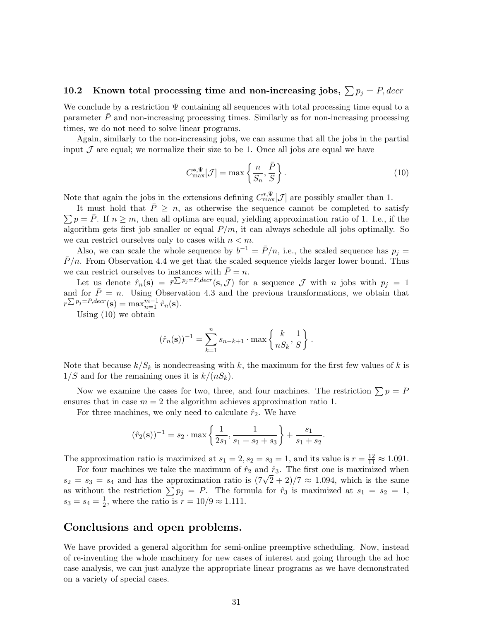### 10.2 Known total processing time and non-increasing jobs,  $\sum p_i = P$ , decr

We conclude by a restriction  $\Psi$  containing all sequences with total processing time equal to a parameter  $\bar{P}$  and non-increasing processing times. Similarly as for non-increasing processing times, we do not need to solve linear programs.

Again, similarly to the non-increasing jobs, we can assume that all the jobs in the partial input  $\mathcal J$  are equal; we normalize their size to be 1. Once all jobs are equal we have

$$
C_{\text{max}}^{*,\Psi}[\mathcal{J}] = \max\left\{\frac{n}{S_n}, \frac{\bar{P}}{S}\right\}.
$$
\n(10)

.

Note that again the jobs in the extensions defining  $C_{\text{max}}^{*,\Psi}[\mathcal{J}]$  are possibly smaller than 1.

It must hold that  $\bar{P} \geq n$ , as otherwise the sequence cannot be completed to satisfy  $\sum p = \bar{P}$ . If  $n \geq m$ , then all optima are equal, yielding approximation ratio of 1. I.e., if the algorithm gets first job smaller or equal  $P/m$ , it can always schedule all jobs optimally. So we can restrict ourselves only to cases with  $n < m$ .

Also, we can scale the whole sequence by  $b^{-1} = \bar{P}/n$ , i.e., the scaled sequence has  $p_j =$  $\bar{P}/n$ . From Observation 4.4 we get that the scaled sequence yields larger lower bound. Thus we can restrict ourselves to instances with  $\bar{P} = n$ .

Let us denote  $\hat{r}_n(\mathbf{s}) = \bar{r}^{\sum p_j = P, decr}(\mathbf{s}, \mathcal{J})$  for a sequence  $\mathcal J$  with  $n$  jobs with  $p_j = 1$ and for  $\overline{P} = n$ . Using Observation 4.3 and the previous transformations, we obtain that  $r^{\sum p_j = P, decr}$ (s) = max $_{n=1}^{m-1}$   $\hat{r}_n$ (s).

Using (10) we obtain

$$
(\hat{r}_n(\mathbf{s}))^{-1} = \sum_{k=1}^n s_{n-k+1} \cdot \max\left\{\frac{k}{nS_k}, \frac{1}{S}\right\}.
$$

Note that because  $k/S_k$  is nondecreasing with k, the maximum for the first few values of k is  $1/S$  and for the remaining ones it is  $k/(nS_k)$ .

Now we examine the cases for two, three, and four machines. The restriction  $\sum p = P$ ensures that in case  $m = 2$  the algorithm achieves approximation ratio 1.

For three machines, we only need to calculate  $\hat{r}_2$ . We have

$$
(\hat{r}_2(\mathbf{s}))^{-1} = s_2 \cdot \max\left\{\frac{1}{2s_1}, \frac{1}{s_1 + s_2 + s_3}\right\} + \frac{s_1}{s_1 + s_2}
$$

The approximation ratio is maximized at  $s_1 = 2$ ,  $s_2 = s_3 = 1$ , and its value is  $r = \frac{12}{11} \approx 1.091$ .

For four machines we take the maximum of  $\hat{r}_2$  and  $\hat{r}_3$ . The first one is maximized when For four macnines we take the maximum of  $r_2$  and  $r_3$ . The first one is maximized when  $s_2 = s_3 = s_4$  and has the approximation ratio is  $(7\sqrt{2} + 2)/7 \approx 1.094$ , which is the same as without the restriction  $\sum p_j = P$ . The formula for  $\hat{r}_3$  is maximized at  $s_1 = s_2 = 1$ ,  $s_3 = s_4 = \frac{1}{2}$  $\frac{1}{2}$ , where the ratio is  $r = 10/9 \approx 1.111$ .

# Conclusions and open problems.

We have provided a general algorithm for semi-online preemptive scheduling. Now, instead of re-inventing the whole machinery for new cases of interest and going through the ad hoc case analysis, we can just analyze the appropriate linear programs as we have demonstrated on a variety of special cases.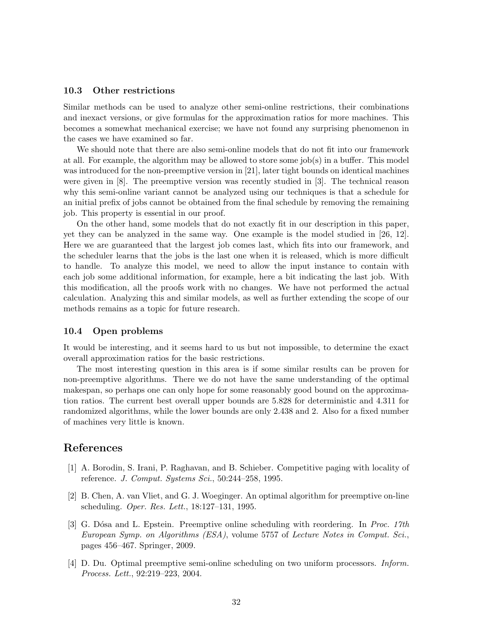#### 10.3 Other restrictions

Similar methods can be used to analyze other semi-online restrictions, their combinations and inexact versions, or give formulas for the approximation ratios for more machines. This becomes a somewhat mechanical exercise; we have not found any surprising phenomenon in the cases we have examined so far.

We should note that there are also semi-online models that do not fit into our framework at all. For example, the algorithm may be allowed to store some job(s) in a buffer. This model was introduced for the non-preemptive version in [21], later tight bounds on identical machines were given in [8]. The preemptive version was recently studied in [3]. The technical reason why this semi-online variant cannot be analyzed using our techniques is that a schedule for an initial prefix of jobs cannot be obtained from the final schedule by removing the remaining job. This property is essential in our proof.

On the other hand, some models that do not exactly fit in our description in this paper, yet they can be analyzed in the same way. One example is the model studied in [26, 12]. Here we are guaranteed that the largest job comes last, which fits into our framework, and the scheduler learns that the jobs is the last one when it is released, which is more difficult to handle. To analyze this model, we need to allow the input instance to contain with each job some additional information, for example, here a bit indicating the last job. With this modification, all the proofs work with no changes. We have not performed the actual calculation. Analyzing this and similar models, as well as further extending the scope of our methods remains as a topic for future research.

#### 10.4 Open problems

It would be interesting, and it seems hard to us but not impossible, to determine the exact overall approximation ratios for the basic restrictions.

The most interesting question in this area is if some similar results can be proven for non-preemptive algorithms. There we do not have the same understanding of the optimal makespan, so perhaps one can only hope for some reasonably good bound on the approximation ratios. The current best overall upper bounds are 5.828 for deterministic and 4.311 for randomized algorithms, while the lower bounds are only 2.438 and 2. Also for a fixed number of machines very little is known.

# References

- [1] A. Borodin, S. Irani, P. Raghavan, and B. Schieber. Competitive paging with locality of reference. J. Comput. Systems Sci., 50:244–258, 1995.
- [2] B. Chen, A. van Vliet, and G. J. Woeginger. An optimal algorithm for preemptive on-line scheduling. Oper. Res. Lett., 18:127–131, 1995.
- [3] G. Dósa and L. Epstein. Preemptive online scheduling with reordering. In Proc. 17th European Symp. on Algorithms (ESA), volume 5757 of Lecture Notes in Comput. Sci., pages 456–467. Springer, 2009.
- [4] D. Du. Optimal preemptive semi-online scheduling on two uniform processors. Inform. Process. Lett., 92:219–223, 2004.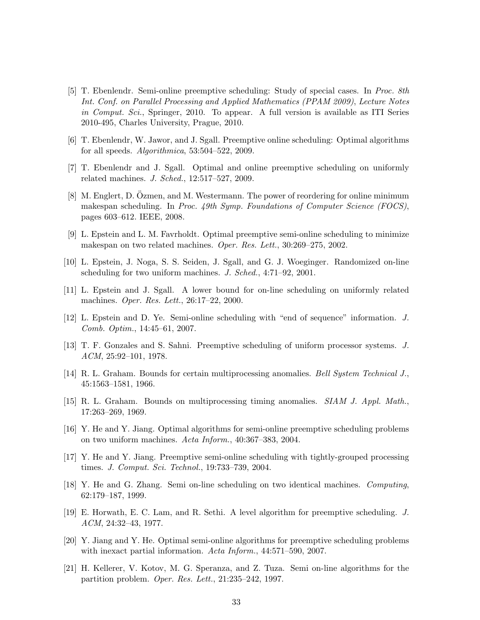- [5] T. Ebenlendr. Semi-online preemptive scheduling: Study of special cases. In Proc. 8th Int. Conf. on Parallel Processing and Applied Mathematics (PPAM 2009), Lecture Notes in Comput. Sci., Springer, 2010. To appear. A full version is available as ITI Series 2010-495, Charles University, Prague, 2010.
- [6] T. Ebenlendr, W. Jawor, and J. Sgall. Preemptive online scheduling: Optimal algorithms for all speeds. Algorithmica, 53:504–522, 2009.
- [7] T. Ebenlendr and J. Sgall. Optimal and online preemptive scheduling on uniformly related machines. J. Sched., 12:517–527, 2009.
- [8] M. Englert, D. Ozmen, and M. Westermann. The power of reordering for online minimum makespan scheduling. In Proc. 49th Symp. Foundations of Computer Science (FOCS), pages 603–612. IEEE, 2008.
- [9] L. Epstein and L. M. Favrholdt. Optimal preemptive semi-online scheduling to minimize makespan on two related machines. Oper. Res. Lett., 30:269–275, 2002.
- [10] L. Epstein, J. Noga, S. S. Seiden, J. Sgall, and G. J. Woeginger. Randomized on-line scheduling for two uniform machines. J. Sched., 4:71–92, 2001.
- [11] L. Epstein and J. Sgall. A lower bound for on-line scheduling on uniformly related machines. Oper. Res. Lett., 26:17–22, 2000.
- [12] L. Epstein and D. Ye. Semi-online scheduling with "end of sequence" information. J. Comb. Optim., 14:45–61, 2007.
- [13] T. F. Gonzales and S. Sahni. Preemptive scheduling of uniform processor systems. J. ACM, 25:92–101, 1978.
- [14] R. L. Graham. Bounds for certain multiprocessing anomalies. Bell System Technical J., 45:1563–1581, 1966.
- [15] R. L. Graham. Bounds on multiprocessing timing anomalies. SIAM J. Appl. Math., 17:263–269, 1969.
- [16] Y. He and Y. Jiang. Optimal algorithms for semi-online preemptive scheduling problems on two uniform machines. Acta Inform., 40:367–383, 2004.
- [17] Y. He and Y. Jiang. Preemptive semi-online scheduling with tightly-grouped processing times. J. Comput. Sci. Technol., 19:733–739, 2004.
- [18] Y. He and G. Zhang. Semi on-line scheduling on two identical machines. Computing, 62:179–187, 1999.
- [19] E. Horwath, E. C. Lam, and R. Sethi. A level algorithm for preemptive scheduling. J. ACM, 24:32–43, 1977.
- [20] Y. Jiang and Y. He. Optimal semi-online algorithms for preemptive scheduling problems with inexact partial information. Acta Inform., 44:571-590, 2007.
- [21] H. Kellerer, V. Kotov, M. G. Speranza, and Z. Tuza. Semi on-line algorithms for the partition problem. Oper. Res. Lett., 21:235–242, 1997.